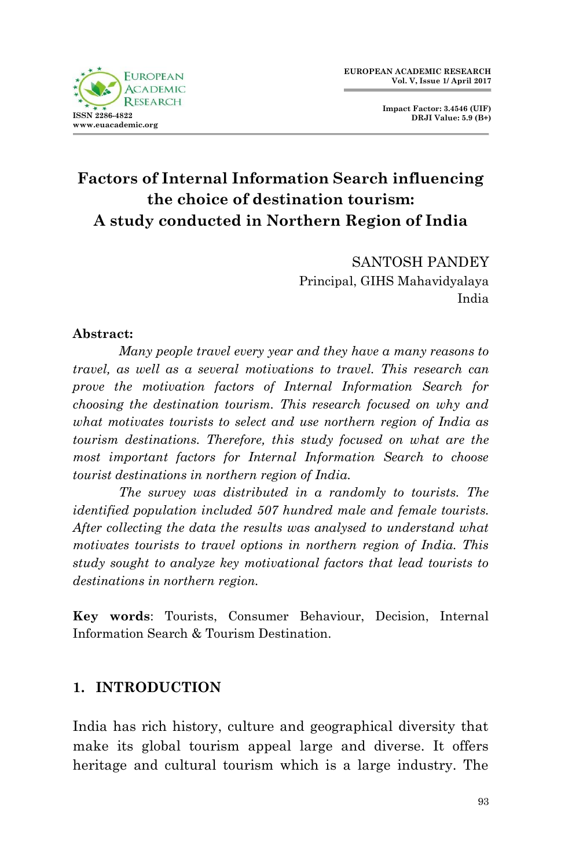

**Impact Factor: 3.4546 (UIF) DRJI Value: 5.9 (B+)**

# **Factors of Internal Information Search influencing the choice of destination tourism: A study conducted in Northern Region of India**

SANTOSH PANDEY Principal, GIHS Mahavidyalaya India

### **Abstract:**

*Many people travel every year and they have a many reasons to travel, as well as a several motivations to travel. This research can prove the motivation factors of Internal Information Search for choosing the destination tourism. This research focused on why and what motivates tourists to select and use northern region of India as tourism destinations. Therefore, this study focused on what are the most important factors for Internal Information Search to choose tourist destinations in northern region of India.*

*The survey was distributed in a randomly to tourists. The identified population included 507 hundred male and female tourists. After collecting the data the results was analysed to understand what motivates tourists to travel options in northern region of India. This study sought to analyze key motivational factors that lead tourists to destinations in northern region.* 

**Key words**: Tourists, Consumer Behaviour, Decision, Internal Information Search & Tourism Destination.

# **1. INTRODUCTION**

India has rich history, culture and geographical diversity that make its global tourism appeal large and diverse. It offers heritage and cultural tourism which is a large industry. The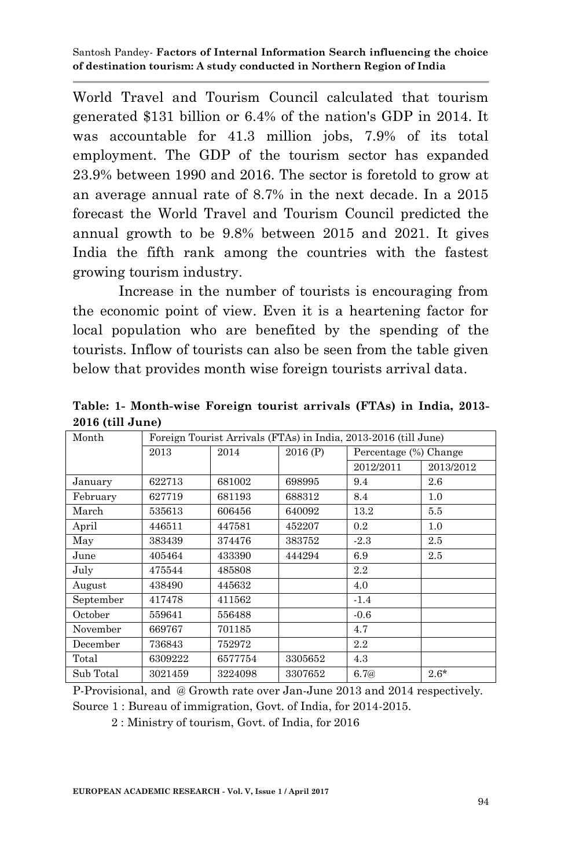World Travel and Tourism Council calculated that tourism generated \$131 billion or 6.4% of the nation's GDP in 2014. It was accountable for 41.3 million jobs, 7.9% of its total employment. The GDP of the tourism sector has expanded 23.9% between 1990 and 2016. The sector is foretold to grow at an average annual rate of 8.7% in the next decade. In a 2015 forecast the World Travel and Tourism Council predicted the annual growth to be 9.8% between 2015 and 2021. It gives India the fifth rank among the countries with the fastest growing tourism industry.

Increase in the number of tourists is encouraging from the economic point of view. Even it is a heartening factor for local population who are benefited by the spending of the tourists. Inflow of tourists can also be seen from the table given below that provides month wise foreign tourists arrival data.

| Month     |         | Foreign Tourist Arrivals (FTAs) in India, 2013-2016 (till June) |         |                       |           |  |  |  |
|-----------|---------|-----------------------------------------------------------------|---------|-----------------------|-----------|--|--|--|
|           | 2013    | 2014                                                            | 2016(P) | Percentage (%) Change |           |  |  |  |
|           |         |                                                                 |         | 2012/2011             | 2013/2012 |  |  |  |
| January   | 622713  | 681002                                                          | 698995  | 9.4                   | 2.6       |  |  |  |
| February  | 627719  | 681193                                                          | 688312  | 8.4                   | 1.0       |  |  |  |
| March     | 535613  | 606456                                                          | 640092  | 13.2                  | 5.5       |  |  |  |
| April     | 446511  | 447581                                                          | 452207  | $0.2\,$               | 1.0       |  |  |  |
| May       | 383439  | 374476                                                          | 383752  | $-2.3$                | 2.5       |  |  |  |
| June      | 405464  | 433390                                                          | 444294  | 6.9                   | 2.5       |  |  |  |
| July      | 475544  | 485808                                                          |         | 2.2                   |           |  |  |  |
| August    | 438490  | 445632                                                          |         | 4.0                   |           |  |  |  |
| September | 417478  | 411562                                                          |         | $-1.4$                |           |  |  |  |
| October   | 559641  | 556488                                                          |         | $-0.6$                |           |  |  |  |
| November  | 669767  | 701185                                                          |         | 4.7                   |           |  |  |  |
| December  | 736843  | 752972                                                          |         | 2.2                   |           |  |  |  |
| Total     | 6309222 | 6577754                                                         | 3305652 | 4.3                   |           |  |  |  |
| Sub Total | 3021459 | 3224098                                                         | 3307652 | 6.7@                  | $2.6*$    |  |  |  |

**Table: 1- Month-wise Foreign tourist arrivals (FTAs) in India, 2013- 2016 (till June)**

P-Provisional, and @ Growth rate over Jan-June 2013 and 2014 respectively.

Source 1 : Bureau of immigration, Govt. of India, for 2014-2015.

2 : Ministry of tourism, Govt. of India, for 2016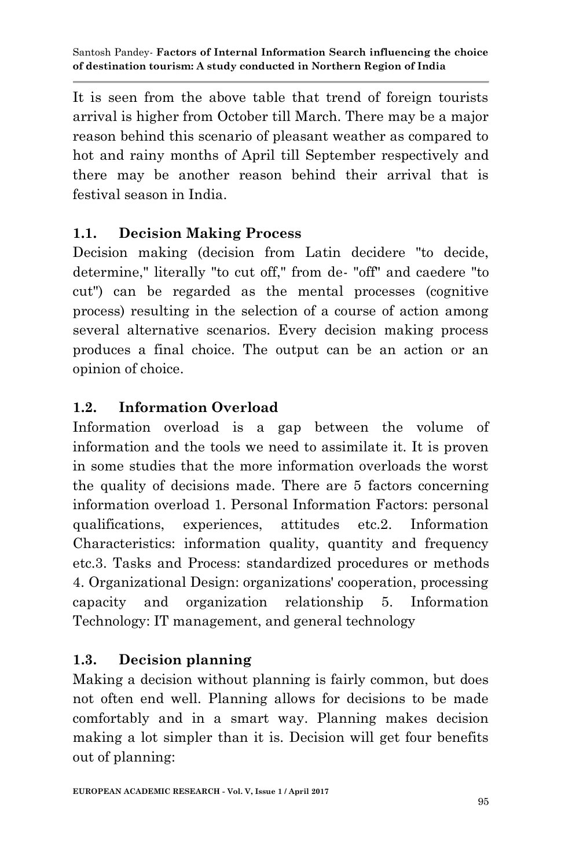It is seen from the above table that trend of foreign tourists arrival is higher from October till March. There may be a major reason behind this scenario of pleasant weather as compared to hot and rainy months of April till September respectively and there may be another reason behind their arrival that is festival season in India.

# **1.1. Decision Making Process**

Decision making (decision from Latin decidere "to decide, determine," literally "to cut off," from de- "off" and caedere "to cut") can be regarded as the mental processes (cognitive process) resulting in the selection of a course of action among several alternative scenarios. Every decision making process produces a final choice. The output can be an action or an opinion of choice.

# **1.2. Information Overload**

Information overload is a gap between the volume of information and the tools we need to assimilate it. It is proven in some studies that the more information overloads the worst the quality of decisions made. There are 5 factors concerning information overload 1. Personal Information Factors: personal qualifications, experiences, attitudes etc.2. Information Characteristics: information quality, quantity and frequency etc.3. Tasks and Process: standardized procedures or methods 4. Organizational Design: organizations' cooperation, processing capacity and organization relationship 5. Information Technology: IT management, and general technology

# **1.3. Decision planning**

Making a decision without planning is fairly common, but does not often end well. Planning allows for decisions to be made comfortably and in a smart way. Planning makes decision making a lot simpler than it is. Decision will get four benefits out of planning: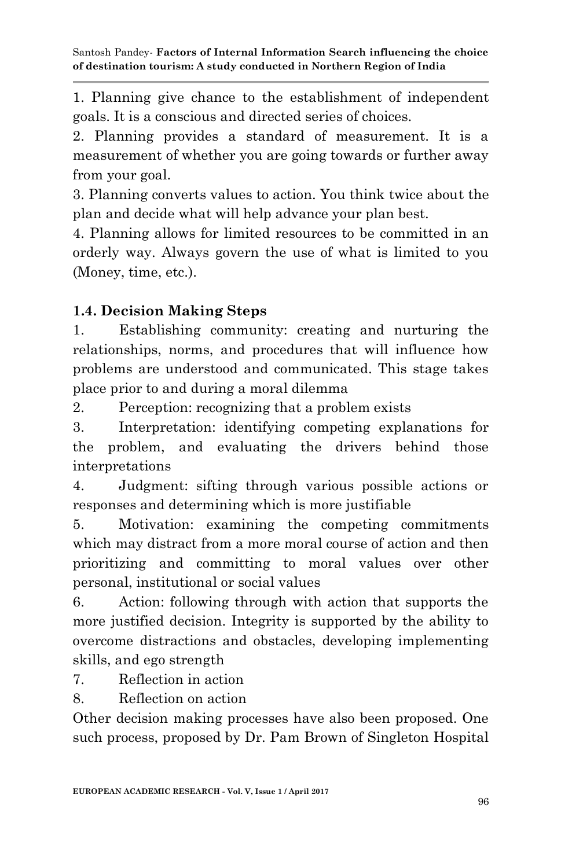1. Planning give chance to the establishment of independent goals. It is a conscious and directed series of choices.

2. Planning provides a standard of measurement. It is a measurement of whether you are going towards or further away from your goal.

3. Planning converts values to action. You think twice about the plan and decide what will help advance your plan best.

4. Planning allows for limited resources to be committed in an orderly way. Always govern the use of what is limited to you (Money, time, etc.).

# **1.4. Decision Making Steps**

1. Establishing community: creating and nurturing the relationships, norms, and procedures that will influence how problems are understood and communicated. This stage takes place prior to and during a moral dilemma

2. Perception: recognizing that a problem exists

3. Interpretation: identifying competing explanations for the problem, and evaluating the drivers behind those interpretations

4. Judgment: sifting through various possible actions or responses and determining which is more justifiable

5. Motivation: examining the competing commitments which may distract from a more moral course of action and then prioritizing and committing to moral values over other personal, institutional or social values

6. Action: following through with action that supports the more justified decision. Integrity is supported by the ability to overcome distractions and obstacles, developing implementing skills, and ego strength

7. Reflection in action

8. Reflection on action

Other decision making processes have also been proposed. One such process, proposed by Dr. Pam Brown of Singleton Hospital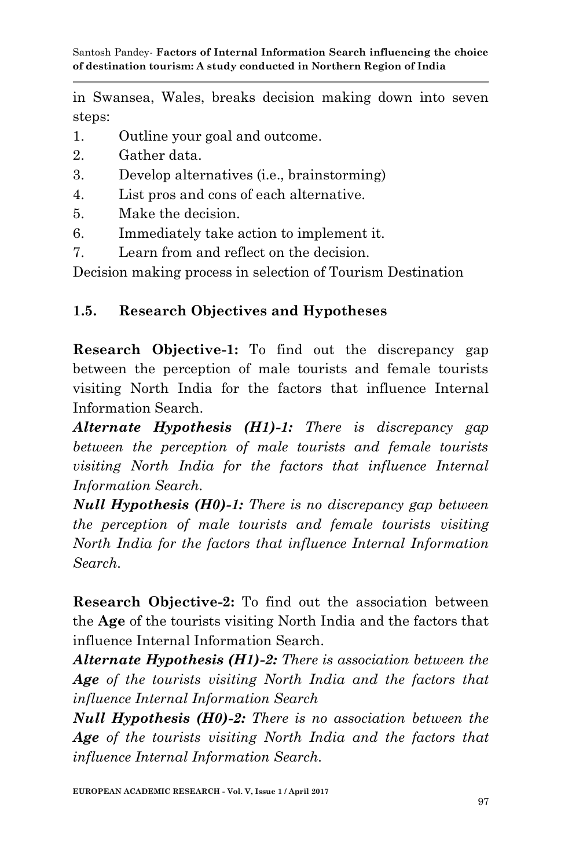in Swansea, Wales, breaks decision making down into seven steps:

- 1. Outline your goal and outcome.
- 2. Gather data.
- 3. Develop alternatives (i.e., brainstorming)
- 4. List pros and cons of each alternative.
- 5. Make the decision.
- 6. Immediately take action to implement it.
- 7. Learn from and reflect on the decision.

Decision making process in selection of Tourism Destination

# **1.5. Research Objectives and Hypotheses**

**Research Objective-1:** To find out the discrepancy gap between the perception of male tourists and female tourists visiting North India for the factors that influence Internal Information Search.

*Alternate Hypothesis (H1)-1: There is discrepancy gap between the perception of male tourists and female tourists visiting North India for the factors that influence Internal Information Search.*

*Null Hypothesis (H0)-1: There is no discrepancy gap between the perception of male tourists and female tourists visiting North India for the factors that influence Internal Information Search.*

**Research Objective-2:** To find out the association between the **Age** of the tourists visiting North India and the factors that influence Internal Information Search.

*Alternate Hypothesis (H1)-2: There is association between the Age of the tourists visiting North India and the factors that influence Internal Information Search*

*Null Hypothesis (H0)-2: There is no association between the Age of the tourists visiting North India and the factors that influence Internal Information Search.*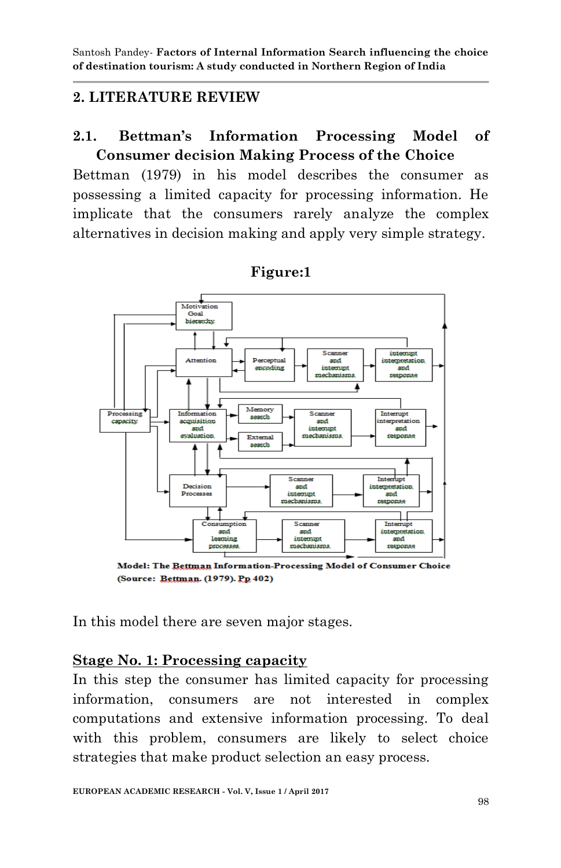# **2. LITERATURE REVIEW**

# **2.1. Bettman's Information Processing Model of Consumer decision Making Process of the Choice**

Bettman (1979) in his model describes the consumer as possessing a limited capacity for processing information. He implicate that the consumers rarely analyze the complex alternatives in decision making and apply very simple strategy.



**Figure:1**

Model: The Bettman Information-Processing Model of Consumer Choice (Source: Bettman. (1979). Pp. 402)

In this model there are seven major stages.

### **Stage No. 1: Processing capacity**

In this step the consumer has limited capacity for processing information, consumers are not interested in complex computations and extensive information processing. To deal with this problem, consumers are likely to select choice strategies that make product selection an easy process.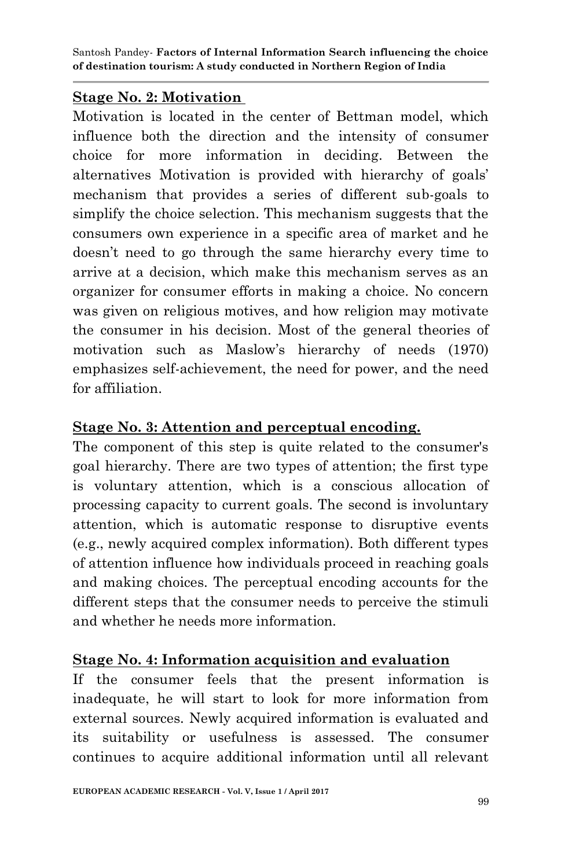### **Stage No. 2: Motivation**

Motivation is located in the center of Bettman model, which influence both the direction and the intensity of consumer choice for more information in deciding. Between the alternatives Motivation is provided with hierarchy of goals" mechanism that provides a series of different sub-goals to simplify the choice selection. This mechanism suggests that the consumers own experience in a specific area of market and he doesn"t need to go through the same hierarchy every time to arrive at a decision, which make this mechanism serves as an organizer for consumer efforts in making a choice. No concern was given on religious motives, and how religion may motivate the consumer in his decision. Most of the general theories of motivation such as Maslow"s hierarchy of needs (1970) emphasizes self-achievement, the need for power, and the need for affiliation.

# **Stage No. 3: Attention and perceptual encoding.**

The component of this step is quite related to the consumer's goal hierarchy. There are two types of attention; the first type is voluntary attention, which is a conscious allocation of processing capacity to current goals. The second is involuntary attention, which is automatic response to disruptive events (e.g., newly acquired complex information). Both different types of attention influence how individuals proceed in reaching goals and making choices. The perceptual encoding accounts for the different steps that the consumer needs to perceive the stimuli and whether he needs more information.

### **Stage No. 4: Information acquisition and evaluation**

If the consumer feels that the present information is inadequate, he will start to look for more information from external sources. Newly acquired information is evaluated and its suitability or usefulness is assessed. The consumer continues to acquire additional information until all relevant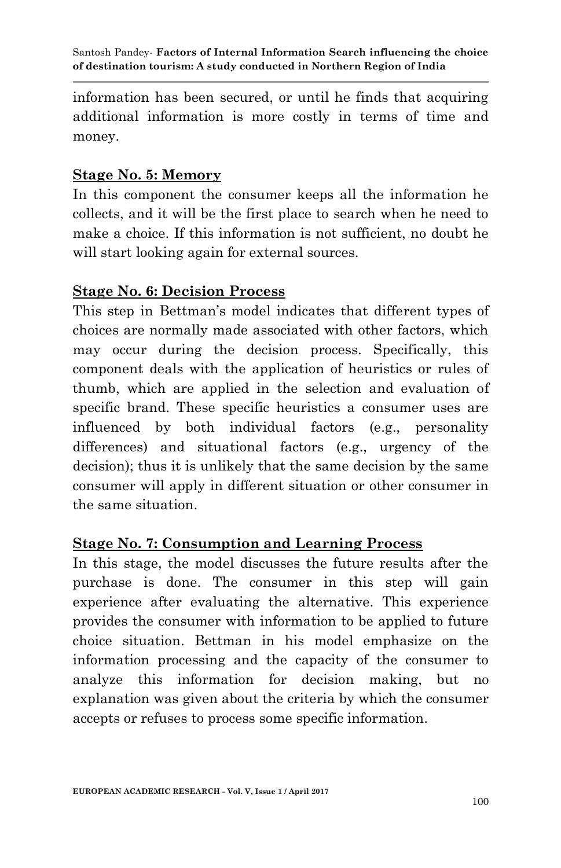information has been secured, or until he finds that acquiring additional information is more costly in terms of time and money.

### **Stage No. 5: Memory**

In this component the consumer keeps all the information he collects, and it will be the first place to search when he need to make a choice. If this information is not sufficient, no doubt he will start looking again for external sources.

### **Stage No. 6: Decision Process**

This step in Bettman's model indicates that different types of choices are normally made associated with other factors, which may occur during the decision process. Specifically, this component deals with the application of heuristics or rules of thumb, which are applied in the selection and evaluation of specific brand. These specific heuristics a consumer uses are influenced by both individual factors (e.g., personality differences) and situational factors (e.g., urgency of the decision); thus it is unlikely that the same decision by the same consumer will apply in different situation or other consumer in the same situation.

### **Stage No. 7: Consumption and Learning Process**

In this stage, the model discusses the future results after the purchase is done. The consumer in this step will gain experience after evaluating the alternative. This experience provides the consumer with information to be applied to future choice situation. Bettman in his model emphasize on the information processing and the capacity of the consumer to analyze this information for decision making, but no explanation was given about the criteria by which the consumer accepts or refuses to process some specific information.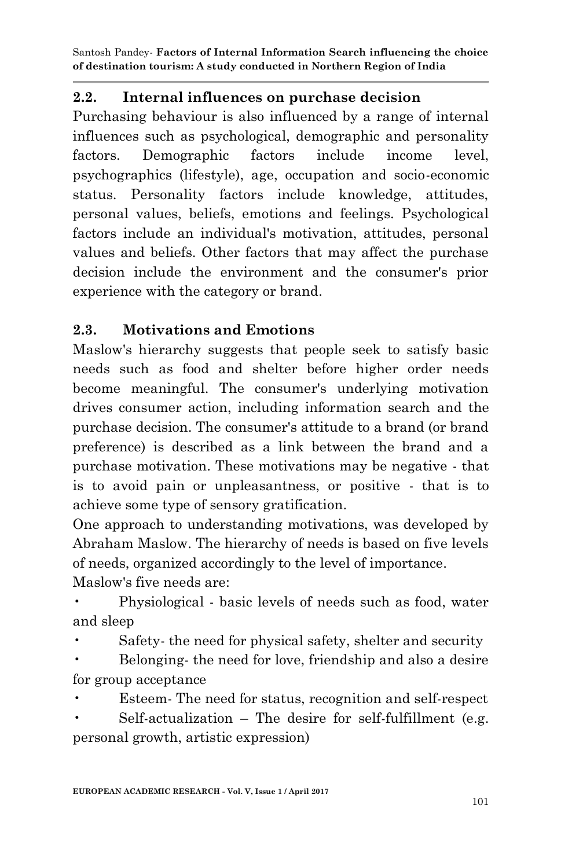# **2.2. Internal influences on purchase decision**

Purchasing behaviour is also influenced by a range of internal influences such as psychological, demographic and personality factors. Demographic factors include income level, psychographics (lifestyle), age, occupation and socio-economic status. Personality factors include knowledge, attitudes, personal values, beliefs, emotions and feelings. Psychological factors include an individual's motivation, attitudes, personal values and beliefs. Other factors that may affect the purchase decision include the environment and the consumer's prior experience with the category or brand.

# **2.3. Motivations and Emotions**

Maslow's hierarchy suggests that people seek to satisfy basic needs such as food and shelter before higher order needs become meaningful. The consumer's underlying motivation drives consumer action, including information search and the purchase decision. The consumer's attitude to a brand (or brand preference) is described as a link between the brand and a purchase motivation. These motivations may be negative - that is to avoid pain or unpleasantness, or positive - that is to achieve some type of sensory gratification.

One approach to understanding motivations, was developed by Abraham Maslow. The hierarchy of needs is based on five levels of needs, organized accordingly to the level of importance. Maslow's five needs are:

• Physiological - basic levels of needs such as food, water and sleep

Safety- the need for physical safety, shelter and security

• Belonging- the need for love, friendship and also a desire for group acceptance

• Esteem- The need for status, recognition and self-respect

Self-actualization – The desire for self-fulfillment (e.g. personal growth, artistic expression)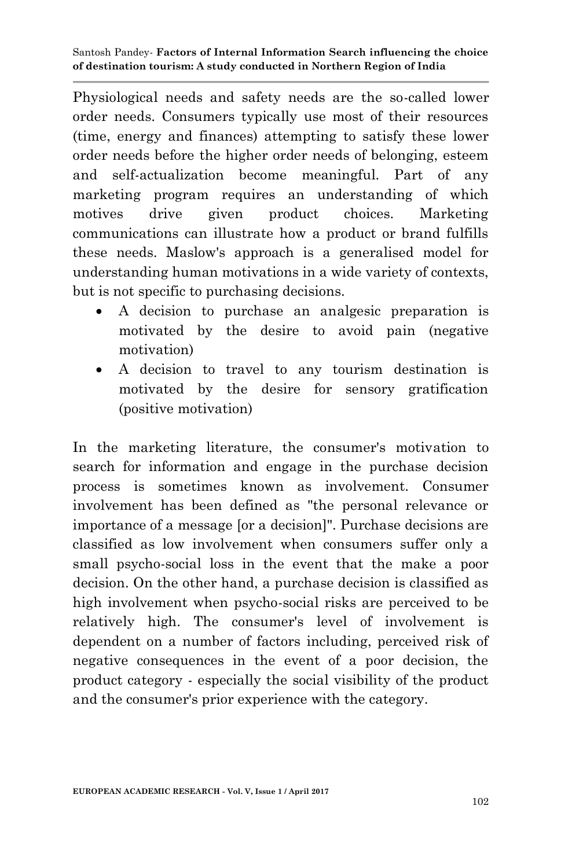Physiological needs and safety needs are the so-called lower order needs. Consumers typically use most of their resources (time, energy and finances) attempting to satisfy these lower order needs before the higher order needs of belonging, esteem and self-actualization become meaningful. Part of any marketing program requires an understanding of which motives drive given product choices. Marketing communications can illustrate how a product or brand fulfills these needs. Maslow's approach is a generalised model for understanding human motivations in a wide variety of contexts, but is not specific to purchasing decisions.

- A decision to purchase an analgesic preparation is motivated by the desire to avoid pain (negative motivation)
- A decision to travel to any tourism destination is motivated by the desire for sensory gratification (positive motivation)

In the marketing literature, the consumer's motivation to search for information and engage in the purchase decision process is sometimes known as involvement. Consumer involvement has been defined as "the personal relevance or importance of a message [or a decision]". Purchase decisions are classified as low involvement when consumers suffer only a small psycho-social loss in the event that the make a poor decision. On the other hand, a purchase decision is classified as high involvement when psycho-social risks are perceived to be relatively high. The consumer's level of involvement is dependent on a number of factors including, perceived risk of negative consequences in the event of a poor decision, the product category - especially the social visibility of the product and the consumer's prior experience with the category.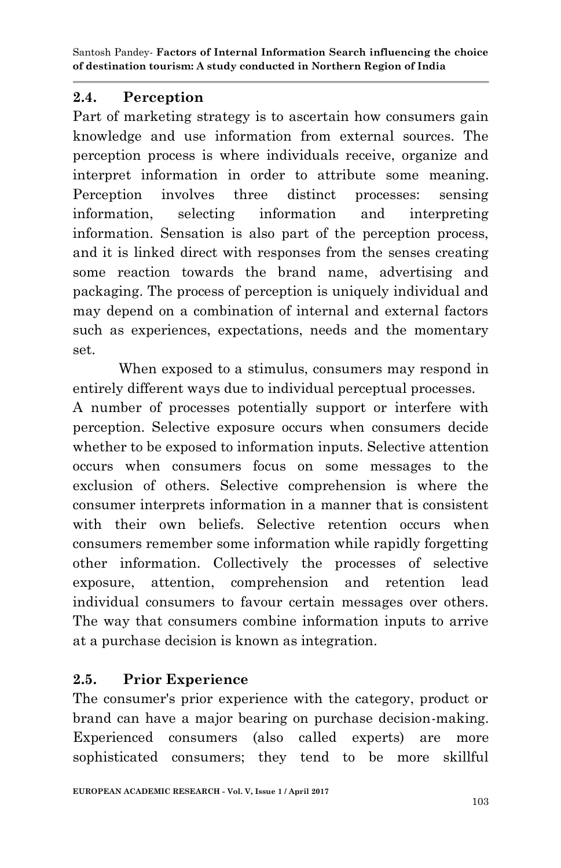## **2.4. Perception**

Part of marketing strategy is to ascertain how consumers gain knowledge and use information from external sources. The perception process is where individuals receive, organize and interpret information in order to attribute some meaning. Perception involves three distinct processes: sensing information, selecting information and interpreting information. Sensation is also part of the perception process, and it is linked direct with responses from the senses creating some reaction towards the brand name, advertising and packaging. The process of perception is uniquely individual and may depend on a combination of internal and external factors such as experiences, expectations, needs and the momentary set.

When exposed to a stimulus, consumers may respond in entirely different ways due to individual perceptual processes.

A number of processes potentially support or interfere with perception. Selective exposure occurs when consumers decide whether to be exposed to information inputs. Selective attention occurs when consumers focus on some messages to the exclusion of others. Selective comprehension is where the consumer interprets information in a manner that is consistent with their own beliefs. Selective retention occurs when consumers remember some information while rapidly forgetting other information. Collectively the processes of selective exposure, attention, comprehension and retention lead individual consumers to favour certain messages over others. The way that consumers combine information inputs to arrive at a purchase decision is known as integration.

# **2.5. Prior Experience**

The consumer's prior experience with the category, product or brand can have a major bearing on purchase decision-making. Experienced consumers (also called experts) are more sophisticated consumers; they tend to be more skillful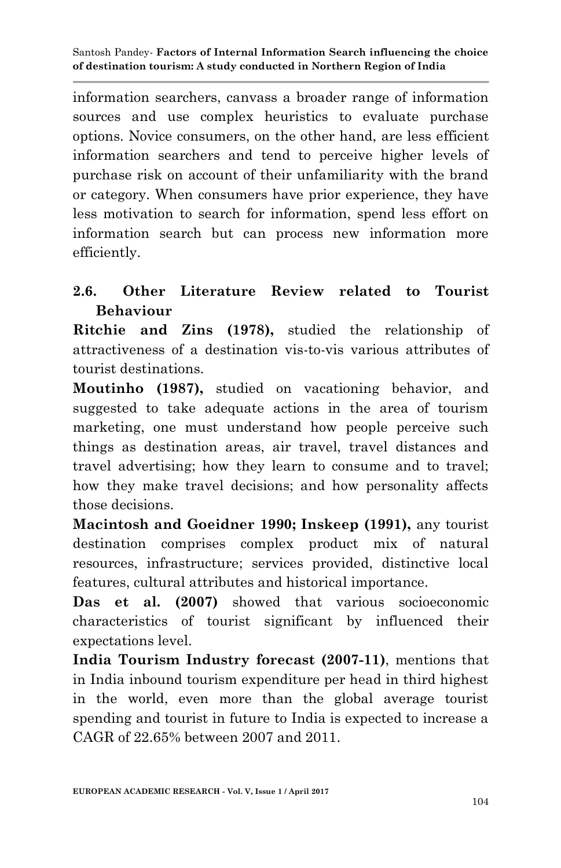information searchers, canvass a broader range of information sources and use complex heuristics to evaluate purchase options. Novice consumers, on the other hand, are less efficient information searchers and tend to perceive higher levels of purchase risk on account of their unfamiliarity with the brand or category. When consumers have prior experience, they have less motivation to search for information, spend less effort on information search but can process new information more efficiently.

# **2.6. Other Literature Review related to Tourist Behaviour**

**Ritchie and Zins (1978),** studied the relationship of attractiveness of a destination vis-to-vis various attributes of tourist destinations.

**Moutinho (1987),** studied on vacationing behavior, and suggested to take adequate actions in the area of tourism marketing, one must understand how people perceive such things as destination areas, air travel, travel distances and travel advertising; how they learn to consume and to travel; how they make travel decisions; and how personality affects those decisions.

**Macintosh and Goeidner 1990; Inskeep (1991),** any tourist destination comprises complex product mix of natural resources, infrastructure; services provided, distinctive local features, cultural attributes and historical importance.

**Das et al. (2007)** showed that various socioeconomic characteristics of tourist significant by influenced their expectations level.

**India Tourism Industry forecast (2007-11)**, mentions that in India inbound tourism expenditure per head in third highest in the world, even more than the global average tourist spending and tourist in future to India is expected to increase a CAGR of 22.65% between 2007 and 2011.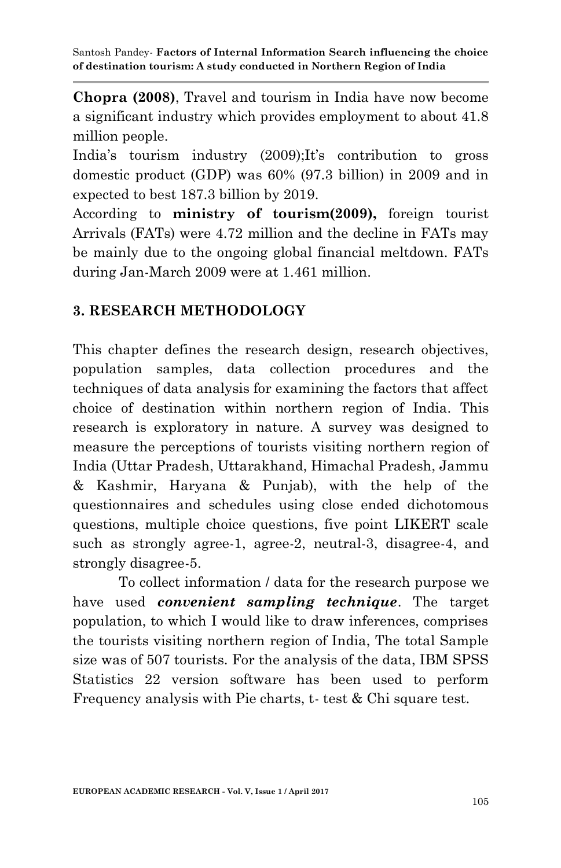**Chopra (2008)**, Travel and tourism in India have now become a significant industry which provides employment to about 41.8 million people.

India's tourism industry (2009);It's contribution to gross domestic product (GDP) was 60% (97.3 billion) in 2009 and in expected to best 187.3 billion by 2019.

According to **ministry of tourism(2009),** foreign tourist Arrivals (FATs) were 4.72 million and the decline in FATs may be mainly due to the ongoing global financial meltdown. FATs during Jan-March 2009 were at 1.461 million.

# **3. RESEARCH METHODOLOGY**

This chapter defines the research design, research objectives, population samples, data collection procedures and the techniques of data analysis for examining the factors that affect choice of destination within northern region of India. This research is exploratory in nature. A survey was designed to measure the perceptions of tourists visiting northern region of India (Uttar Pradesh, Uttarakhand, Himachal Pradesh, Jammu & Kashmir, Haryana & Punjab), with the help of the questionnaires and schedules using close ended dichotomous questions, multiple choice questions, five point LIKERT scale such as strongly agree-1, agree-2, neutral-3, disagree-4, and strongly disagree-5.

To collect information / data for the research purpose we have used *convenient sampling technique*. The target population, to which I would like to draw inferences, comprises the tourists visiting northern region of India, The total Sample size was of 507 tourists. For the analysis of the data, IBM SPSS Statistics 22 version software has been used to perform Frequency analysis with Pie charts, t- test & Chi square test.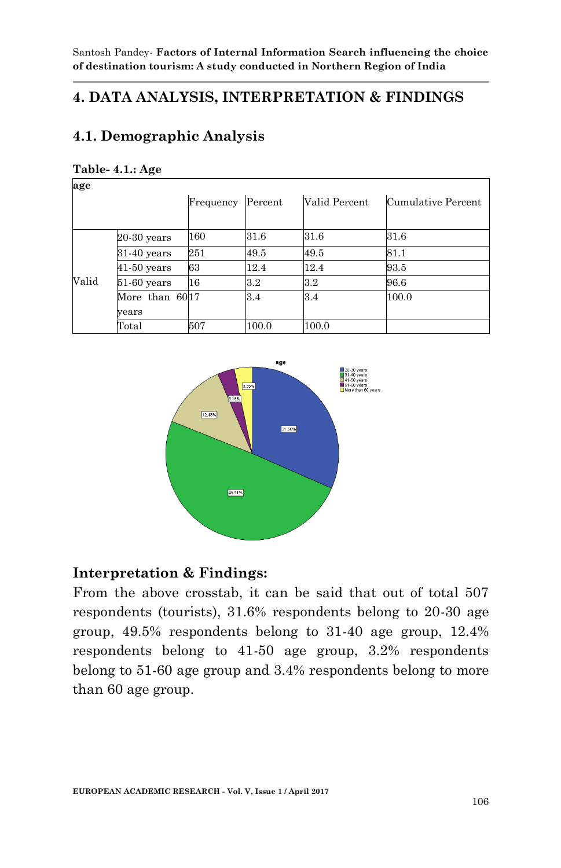# **4. DATA ANALYSIS, INTERPRETATION & FINDINGS**

# **4.1. Demographic Analysis**

| age   |                |           |         |               |                    |
|-------|----------------|-----------|---------|---------------|--------------------|
|       |                | Frequency | Percent | Valid Percent | Cumulative Percent |
|       | $20-30$ years  | 160       | 31.6    | 31.6          | 31.6               |
|       | $31-40$ years  | 251       | 49.5    | 49.5          | 81.1               |
|       | $41-50$ years  | 63        | 12.4    | 12.4          | 93.5               |
| Valid | $51-60$ years  | 16        | 3.2     | 3.2           | 96.6               |
|       | More than 6017 |           | 3.4     | 3.4           | 100.0              |
|       | vears          |           |         |               |                    |
|       | Total          | 507       | 100.0   | 100.0         |                    |

#### **Table- 4.1.: Age**



### **Interpretation & Findings:**

From the above crosstab, it can be said that out of total 507 respondents (tourists), 31.6% respondents belong to 20-30 age group, 49.5% respondents belong to 31-40 age group, 12.4% respondents belong to 41-50 age group, 3.2% respondents belong to 51-60 age group and 3.4% respondents belong to more than 60 age group.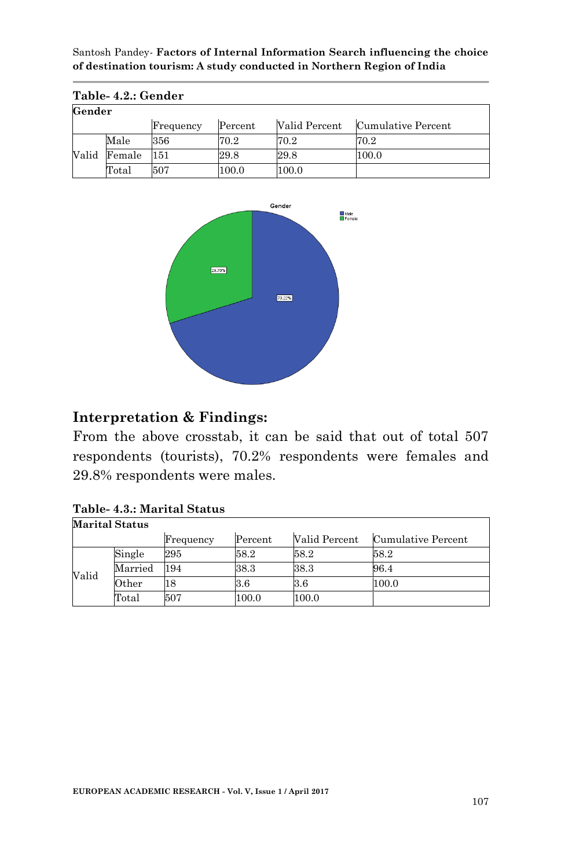|       | Table- 4.2.: Gender |           |         |               |                    |  |  |  |
|-------|---------------------|-----------|---------|---------------|--------------------|--|--|--|
|       | Gender              |           |         |               |                    |  |  |  |
|       |                     | Frequency | Percent | Valid Percent | Cumulative Percent |  |  |  |
|       | Male                | 356       | 70.2    | 70.2          | 70.2               |  |  |  |
| Valid | Female              | 151       | 29.8    | 29.8          | 100.0              |  |  |  |
|       | Total               | 507       | 100.0   | 100.0         |                    |  |  |  |



### **Interpretation & Findings:**

From the above crosstab, it can be said that out of total 507 respondents (tourists), 70.2% respondents were females and 29.8% respondents were males.

#### **Table- 4.3.: Marital Status Marital Status**

|       |             | Frequency | Percent | Valid Percent | Cumulative Percent |  |  |
|-------|-------------|-----------|---------|---------------|--------------------|--|--|
|       | Single      | 295       | 58.2    | 58.2          | 58.2               |  |  |
| Valid | Married     | 194       | 38.3    | 38.3          | 96.4               |  |  |
|       | $\rm Other$ | 18        | 3.6     | 3.6           | 100.0              |  |  |
|       | Total       | 507       | 100.0   | 100.0         |                    |  |  |

Ī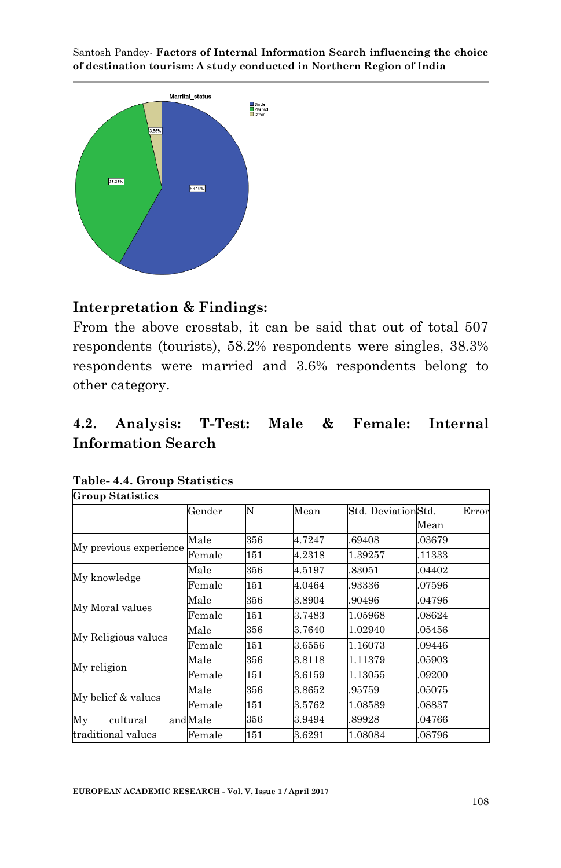

### **Interpretation & Findings:**

From the above crosstab, it can be said that out of total 507 respondents (tourists), 58.2% respondents were singles, 38.3% respondents were married and 3.6% respondents belong to other category.

# **4.2. Analysis: T-Test: Male & Female: Internal Information Search**

| Group Statistics       |         |     |        |                    |        |
|------------------------|---------|-----|--------|--------------------|--------|
|                        | Gender  | N   | Mean   | Std. DeviationStd. | Error  |
|                        |         |     |        |                    | Mean   |
| My previous experience | Male    | 356 | 4.7247 | 69408              | .03679 |
|                        | Female  | 151 | 4.2318 | 1.39257            | .11333 |
| My knowledge           | Male    | 356 | 4.5197 | 83051              | .04402 |
|                        | Female  | 151 | 4.0464 | 93336              | 07596  |
| My Moral values        | Male    | 356 | 3.8904 | 90496.             | .04796 |
|                        | Female  | 151 | 3.7483 | 1.05968            | 08624  |
| My Religious values    | Male    | 356 | 3.7640 | 1.02940            | .05456 |
|                        | Female  | 151 | 3.6556 | 1.16073            | .09446 |
| My religion            | Male    | 356 | 3.8118 | 1.11379            | 05903  |
|                        | Female  | 151 | 3.6159 | 1.13055            | .09200 |
|                        | Male    | 356 | 3.8652 | 95759              | .05075 |
| My belief & values     | Female  | 151 | 3.5762 | 1.08589            | 08837  |
| My<br>cultural         | andMale | 356 | 3.9494 | .89928             | 04766  |
| traditional values     | Female  | 151 | 3.6291 | 1.08084            | .08796 |

#### **Table- 4.4. Group Statistics Group Statistics**

 $\overline{\phantom{a}}$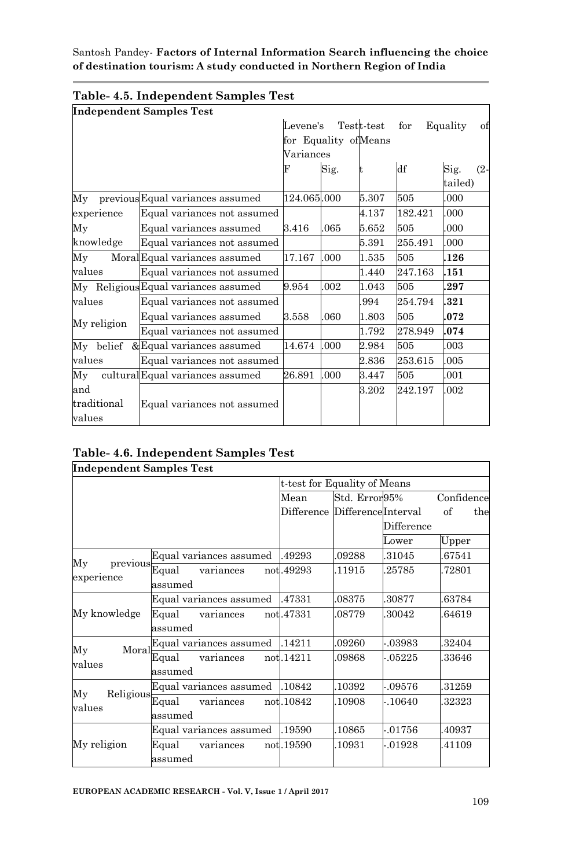|                       | <b>Independent Samples Test</b>      |                      |      |            |         |                           |
|-----------------------|--------------------------------------|----------------------|------|------------|---------|---------------------------|
|                       |                                      | Levene's             |      | Testt-test | for     | Equality<br>οf            |
|                       |                                      | for Equality ofMeans |      |            |         |                           |
|                       |                                      | Variances            |      |            |         |                           |
|                       |                                      | F                    | Sig. | It         | df      | Sig.<br>$(2 -$<br>tailed) |
| My                    | previous Equal variances assumed     | 124.065.000          |      | 5.307      | 505     | .000                      |
| experience            | Equal variances not assumed          |                      |      | 4.137      | 182.421 | .000                      |
| My                    | Equal variances assumed              | 3.416                | .065 | 5.652      | 505     | .000                      |
| knowledge             | Equal variances not assumed          |                      |      | 5.391      | 255.491 | .000                      |
| My                    | MoralEqual variances assumed         | 17.167               | .000 | 1.535      | 505     | .126                      |
| values                | Equal variances not assumed          |                      |      | 1.440      | 247.163 | .151                      |
|                       | My Religious Equal variances assumed | 9.954                | .002 | 1.043      | 505     | .297                      |
| values                | Equal variances not assumed          |                      |      | 994        | 254.794 | .321                      |
|                       | Equal variances assumed              | 3.558                | .060 | 1.803      | 505     | .072                      |
| My religion           | Equal variances not assumed          |                      |      | 1.792      | 278.949 | .074                      |
| My belief             | ⩵ variances assumed                  | 14.674               | .000 | 2.984      | 505     | .003                      |
| values                | Equal variances not assumed          |                      |      | 2.836      | 253.615 | .005                      |
| Мy                    | culturalEqual variances assumed      | 26.891               | .000 | 3.447      | 505     | .001                      |
| and                   |                                      |                      |      | 3.202      | 242.197 | .002                      |
| traditional<br>values | Equal variances not assumed          |                      |      |            |         |                           |

# **Table- 4.5. Independent Samples Test**

| Table- 4.6. Independent Samples Test |  |  |  |  |
|--------------------------------------|--|--|--|--|
|--------------------------------------|--|--|--|--|

| <b>Independent Samples Test</b>                                                               |                         |                               |               |            |            |
|-----------------------------------------------------------------------------------------------|-------------------------|-------------------------------|---------------|------------|------------|
|                                                                                               |                         | t-test for Equality of Means  |               |            |            |
|                                                                                               |                         | Mean                          | Std. Error95% |            | Confidence |
|                                                                                               |                         | Difference DifferenceInterval |               |            | of<br>the  |
|                                                                                               |                         |                               |               | Difference |            |
|                                                                                               |                         |                               |               | Lower      | Upper      |
|                                                                                               | Equal variances assumed | .49293                        | .09288        | 31045      | 67541      |
| Мy<br>$\begin{array}{r} \mathrm{previous} \\ \hline \mathrm{Equal} \end{array}$<br>experience | variances               | not.49293                     | 11915         | 25785      | 72801      |
|                                                                                               | assumed                 |                               |               |            |            |
|                                                                                               | Equal variances assumed | .47331                        | 08375         | 30877      | 63784      |
| My knowledge                                                                                  | Equal<br>variances      | notl.47331                    | 08779         | .30042     | 64619      |
|                                                                                               | assumed                 |                               |               |            |            |
| Mv<br>Moral                                                                                   | Equal variances assumed | .14211                        | .09260        | $-03983$   | 32404      |
| values                                                                                        | Equal<br>variances      | not.14211                     | .09868        | $-05225$   | 33646      |
|                                                                                               | assumed                 |                               |               |            |            |
| Religious<br>My                                                                               | Equal variances assumed | .10842                        | 10392         | $-.09576$  | 31259      |
| values                                                                                        | Equal<br>variances      | not.10842                     | 10908         | -.10640    | 32323      |
|                                                                                               | assumed                 |                               |               |            |            |
|                                                                                               | Equal variances assumed | .19590                        | 10865         | $-01756$   | 40937      |
| My religion                                                                                   | Equal<br>variances      | not.19590                     | 10931         | -.01928    | 41109      |
|                                                                                               | assumed                 |                               |               |            |            |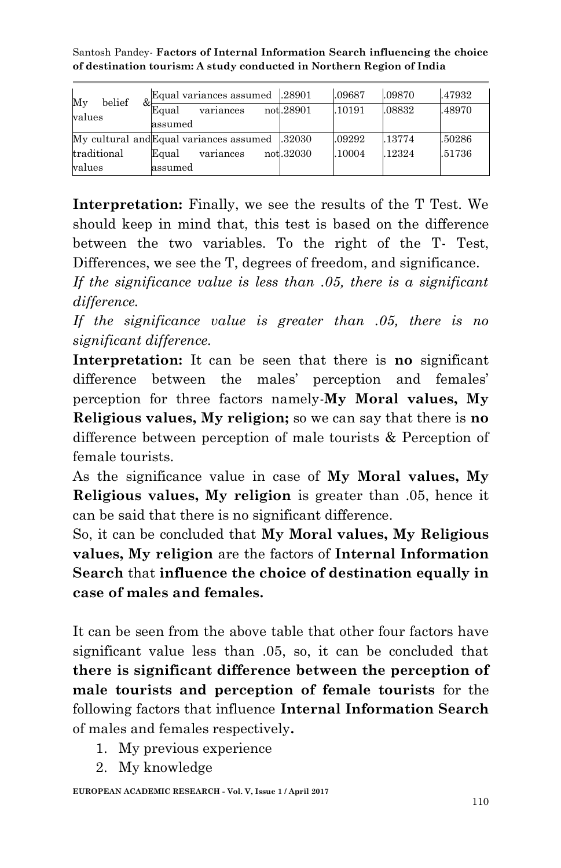Santosh Pandey*-* **Factors of Internal Information Search influencing the choice of destination tourism: A study conducted in Northern Region of India**

| belief<br>My<br>values | Equal variances assumed<br>Equal<br>variances<br>assumed | .28901<br>not.28901 | .09687<br>.10191 | .09870<br>.08832 | .47932<br>.48970 |
|------------------------|----------------------------------------------------------|---------------------|------------------|------------------|------------------|
|                        | My cultural and Equal variances assumed                  | .32030              | .09292           | .13774           | .50286           |
| traditional            | Equal<br>variances                                       | not.32030           | .10004           | .12324           | .51736           |
| values                 | assumed                                                  |                     |                  |                  |                  |

**Interpretation:** Finally, we see the results of the T Test. We should keep in mind that, this test is based on the difference between the two variables. To the right of the T- Test, Differences, we see the T, degrees of freedom, and significance.

*If the significance value is less than .05, there is a significant difference.*

*If the significance value is greater than .05, there is no significant difference.*

**Interpretation:** It can be seen that there is **no** significant difference between the males' perception and females' perception for three factors namely-**My Moral values, My Religious values, My religion;** so we can say that there is **no** difference between perception of male tourists & Perception of female tourists.

As the significance value in case of **My Moral values, My Religious values, My religion** is greater than .05, hence it can be said that there is no significant difference.

So, it can be concluded that **My Moral values, My Religious values, My religion** are the factors of **Internal Information Search** that **influence the choice of destination equally in case of males and females.**

It can be seen from the above table that other four factors have significant value less than .05, so, it can be concluded that **there is significant difference between the perception of male tourists and perception of female tourists** for the following factors that influence **Internal Information Search**  of males and females respectively**.**

- 1. My previous experience
- 2. My knowledge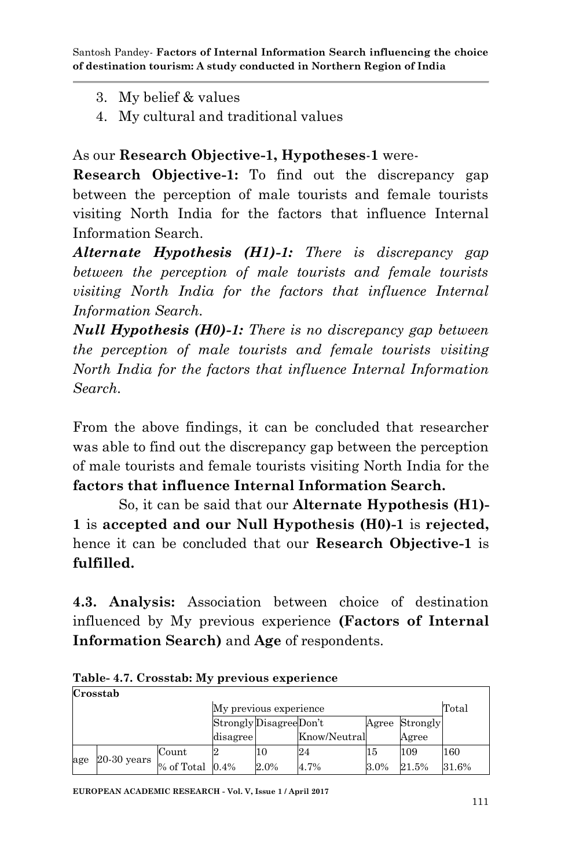- 3. My belief & values
- 4. My cultural and traditional values

# As our **Research Objective-1, Hypotheses**-**1** were-

**Research Objective-1:** To find out the discrepancy gap between the perception of male tourists and female tourists visiting North India for the factors that influence Internal Information Search.

*Alternate Hypothesis (H1)-1: There is discrepancy gap between the perception of male tourists and female tourists visiting North India for the factors that influence Internal Information Search.*

*Null Hypothesis (H0)-1: There is no discrepancy gap between the perception of male tourists and female tourists visiting North India for the factors that influence Internal Information Search.*

From the above findings, it can be concluded that researcher was able to find out the discrepancy gap between the perception of male tourists and female tourists visiting North India for the **factors that influence Internal Information Search.** 

So, it can be said that our **Alternate Hypothesis (H1)- 1** is **accepted and our Null Hypothesis (H0)-1** is **rejected,**  hence it can be concluded that our **Research Objective-1** is **fulfilled.**

**4.3. Analysis:** Association between choice of destination influenced by My previous experience **(Factors of Internal Information Search)** and **Age** of respondents.

|     | Crosstab      |                 |                         |      |              |       |          |       |
|-----|---------------|-----------------|-------------------------|------|--------------|-------|----------|-------|
|     |               |                 | My previous experience  |      |              |       |          | Total |
|     |               |                 | Strongly Disagree Don't |      |              | Agree | Strongly |       |
|     |               |                 | disagree                |      | Know/Neutral |       | Agree    |       |
|     | $20-30$ years | Count           |                         | 10   | 24           | 15    | 109      | 160   |
| age |               | % of Total 0.4% |                         | 2.0% | 4.7%         | 3.0%  | 21.5%    | 31.6% |

**Table- 4.7. Crosstab: My previous experience Crosstab**

**EUROPEAN ACADEMIC RESEARCH - Vol. V, Issue 1 / April 2017**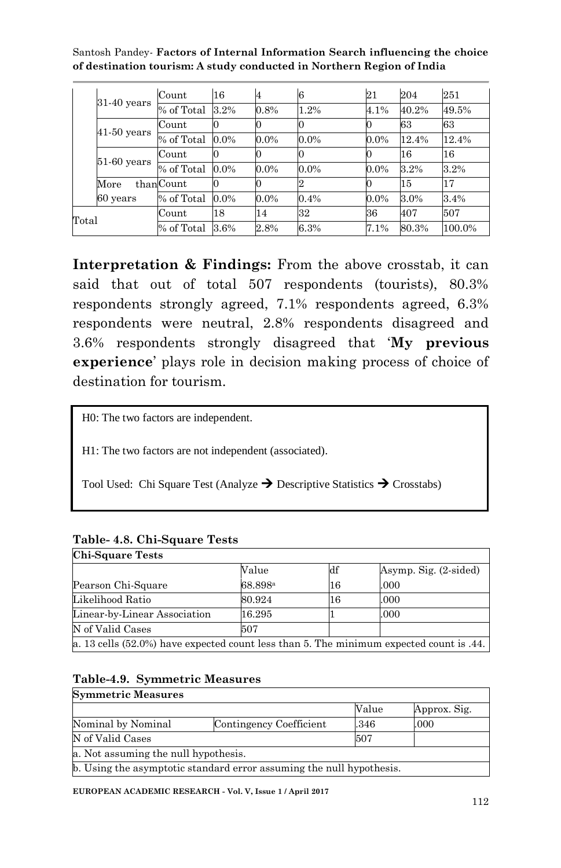|       |               | Count         | 16      | 4       | 6       | 21      | 204   | 251    |
|-------|---------------|---------------|---------|---------|---------|---------|-------|--------|
|       | $31-40$ years | % of Total    | 3.2%    | 0.8%    | 1.2%    | 4.1%    | 40.2% | 49.5%  |
|       |               | Count         |         |         |         |         | 63    | 63     |
|       | $41-50$ years | % of Total    | $0.0\%$ | $0.0\%$ | $0.0\%$ | $0.0\%$ | 12.4% | 12.4%  |
|       |               | Count         |         |         |         |         | 16    | 16     |
|       | $51-60$ years | $\%$ of Total | $0.0\%$ | $0.0\%$ | $0.0\%$ | $0.0\%$ | 3.2%  | 3.2%   |
|       | More          | thanCount     |         |         |         |         | 15    | 17     |
|       | 60 years      | % of Total    | 0.0%    | $0.0\%$ | 0.4%    | $0.0\%$ | 3.0%  | 3.4%   |
| Total |               | Count         | 18      | 14      | 32      | 36      | 407   | 507    |
|       |               | % of Total    | 3.6%    | 2.8%    | 6.3%    | 7.1%    | 80.3% | 100.0% |

**Interpretation & Findings:** From the above crosstab, it can said that out of total 507 respondents (tourists), 80.3% respondents strongly agreed, 7.1% respondents agreed, 6.3% respondents were neutral, 2.8% respondents disagreed and 3.6% respondents strongly disagreed that "**My previous experience**' plays role in decision making process of choice of destination for tourism.

H0: The two factors are independent.

H1: The two factors are not independent (associated).

Tool Used: Chi Square Test (Analyze  $\rightarrow$  Descriptive Statistics  $\rightarrow$  Crosstabs)

| <b>Chi-Square Tests</b>                                                                   |                     |                |                       |
|-------------------------------------------------------------------------------------------|---------------------|----------------|-----------------------|
|                                                                                           | Value               | $\mathbf{d}$ f | Asymp. Sig. (2-sided) |
| Pearson Chi-Square                                                                        | 68.898 <sup>a</sup> | 16             | .000                  |
| Likelihood Ratio                                                                          | 80.924              | 16             | .000                  |
| Linear-by-Linear Association                                                              | 16.295              |                | .000                  |
| N of Valid Cases                                                                          | 507                 |                |                       |
| a. 13 cells $(52.0%)$ have expected count less than 5. The minimum expected count is .44. |                     |                |                       |

### **Table- 4.8. Chi-Square Tests**

### **Table-4.9. Symmetric Measures**

| <b>Symmetric Measures</b> |                                                                      |       |              |  |  |  |  |
|---------------------------|----------------------------------------------------------------------|-------|--------------|--|--|--|--|
|                           |                                                                      | Value | Approx. Sig. |  |  |  |  |
| Nominal by Nominal        | Contingency Coefficient                                              | .346  | .000         |  |  |  |  |
| N of Valid Cases          |                                                                      | 507   |              |  |  |  |  |
|                           | a. Not assuming the null hypothesis.                                 |       |              |  |  |  |  |
|                           | b. Using the asymptotic standard error assuming the null hypothesis. |       |              |  |  |  |  |

**EUROPEAN ACADEMIC RESEARCH - Vol. V, Issue 1 / April 2017**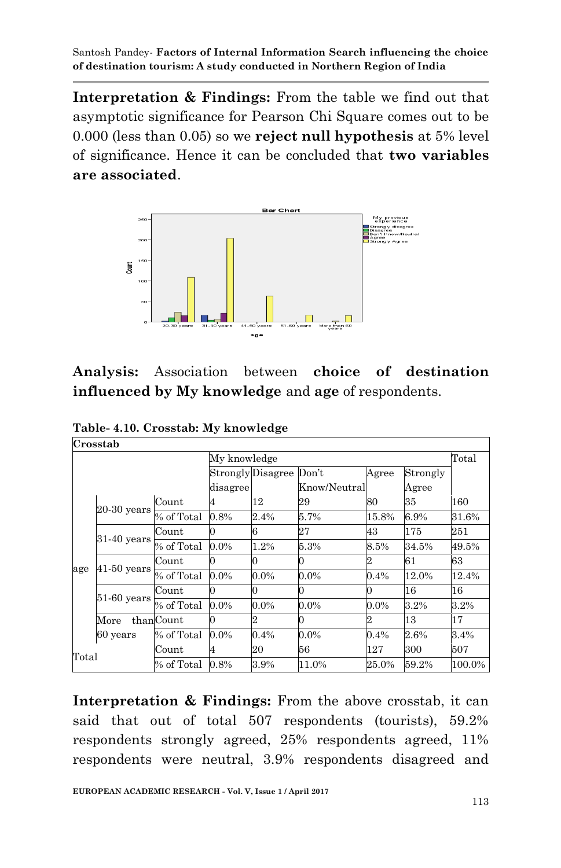**Interpretation & Findings:** From the table we find out that asymptotic significance for Pearson Chi Square comes out to be 0.000 (less than 0.05) so we **reject null hypothesis** at 5% level of significance. Hence it can be concluded that **two variables are associated**.



# **Analysis:** Association between **choice of destination influenced by My knowledge** and **age** of respondents.

| Table-4.10. Crosstab: My knowledge |  |  |
|------------------------------------|--|--|
| Crosstab                           |  |  |

|       | UI USStat     |            |              |                   |              |         |          |        |
|-------|---------------|------------|--------------|-------------------|--------------|---------|----------|--------|
|       |               |            | My knowledge |                   |              |         |          | Total  |
|       |               |            |              | Strongly Disagree | Don't        | Agree   | Strongly |        |
|       |               |            | disagree     |                   | Know/Neutral |         | Agree    |        |
|       |               | Count      | 4            | 12                | 29           | 80      | 35       | 160    |
|       | $20-30$ years | % of Total | 0.8%         | 2.4%              | 5.7%         | 15.8%   | 6.9%     | 31.6%  |
|       | $31-40$ years | Count      | 0            | 6                 | 27           | 43      | 175      | 251    |
|       |               | % of Total | 0.0%         | 1.2%              | 5.3%         | 8.5%    | 34.5%    | 49.5%  |
|       | $41-50$ years | Count      | 0            |                   | 0            | 2       | 61       | 63     |
| age   |               | % of Total | 0.0%         | 0.0%              | $0.0\%$      | 0.4%    | 12.0%    | 12.4%  |
|       |               | Count      | 0            |                   |              |         | 16       | 16     |
|       | $51-60$ years | % of Total | 0.0%         | $0.0\%$           | $0.0\%$      | $0.0\%$ | 3.2%     | 3.2%   |
|       | More          | thanCount  | 0            | 2                 | 0            | 2       | 13       | 17     |
|       | 60 years      | % of Total | $0.0\%$      | 0.4%              | $0.0\%$      | 0.4%    | 2.6%     | 3.4%   |
| Total |               | Count      | 4            | 20                | 56           | 127     | 300      | 507    |
|       |               | % of Total | 0.8%         | 3.9%              | 11.0%        | 25.0%   | 59.2%    | 100.0% |

**Interpretation & Findings:** From the above crosstab, it can said that out of total 507 respondents (tourists), 59.2% respondents strongly agreed, 25% respondents agreed, 11% respondents were neutral, 3.9% respondents disagreed and

T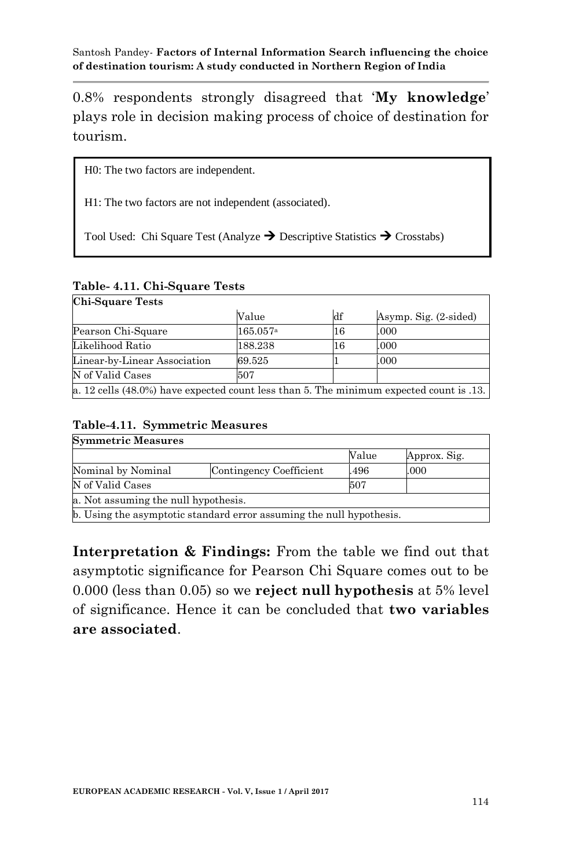0.8% respondents strongly disagreed that "**My knowledge**" plays role in decision making process of choice of destination for tourism.

H0: The two factors are independent.

H1: The two factors are not independent (associated).

Tool Used: Chi Square Test (Analyze  $\rightarrow$  Descriptive Statistics  $\rightarrow$  Crosstabs)

### **Table- 4.11. Chi-Square Tests**

| <b>Chi-Square Tests</b>                                                                    |          |    |                       |  |  |  |  |
|--------------------------------------------------------------------------------------------|----------|----|-----------------------|--|--|--|--|
|                                                                                            | Value    | df | Asymp. Sig. (2-sided) |  |  |  |  |
| Pearson Chi-Square                                                                         | 165.057a | 16 | .000                  |  |  |  |  |
| Likelihood Ratio                                                                           | 188.238  | 16 | .000                  |  |  |  |  |
| Linear-by-Linear Association                                                               | 69.525   |    | .000                  |  |  |  |  |
| N of Valid Cases                                                                           | 507      |    |                       |  |  |  |  |
| a. 12 cells $(48.0\%)$ have expected count less than 5. The minimum expected count is .13. |          |    |                       |  |  |  |  |

### **Table-4.11. Symmetric Measures**

| <b>Symmetric Measures</b>            |                                                                      |       |              |  |  |  |  |
|--------------------------------------|----------------------------------------------------------------------|-------|--------------|--|--|--|--|
|                                      |                                                                      | Value | Approx. Sig. |  |  |  |  |
| Nominal by Nominal                   | Contingency Coefficient                                              | 496   | .000         |  |  |  |  |
| N of Valid Cases                     |                                                                      | 507   |              |  |  |  |  |
| a. Not assuming the null hypothesis. |                                                                      |       |              |  |  |  |  |
|                                      | b. Using the asymptotic standard error assuming the null hypothesis. |       |              |  |  |  |  |

**Interpretation & Findings:** From the table we find out that asymptotic significance for Pearson Chi Square comes out to be 0.000 (less than 0.05) so we **reject null hypothesis** at 5% level of significance. Hence it can be concluded that **two variables are associated**.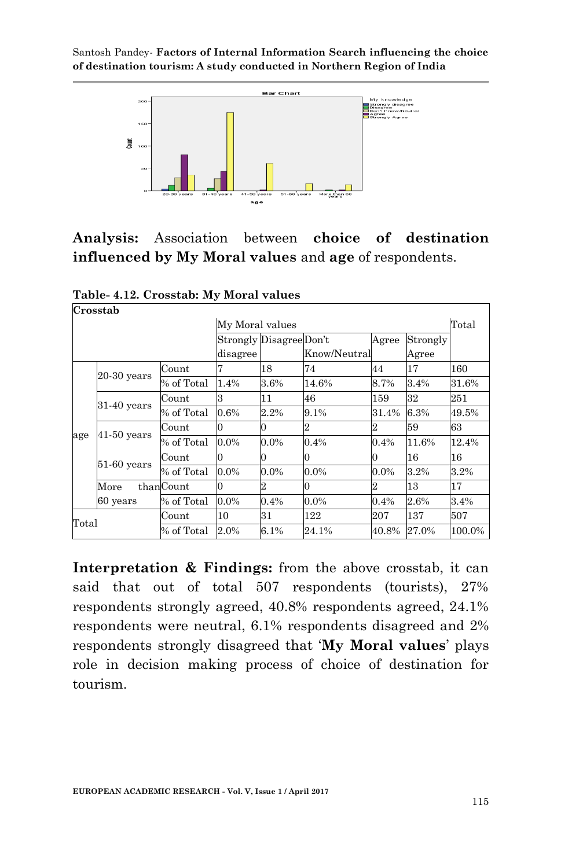

**Analysis:** Association between **choice of destination influenced by My Moral values** and **age** of respondents.

|       | Crosstab      |            |          |                          |              |         |          |        |
|-------|---------------|------------|----------|--------------------------|--------------|---------|----------|--------|
|       |               |            |          | Total<br>My Moral values |              |         |          |        |
|       |               |            |          | Strongly Disagree Don't  |              | Agree   | Strongly |        |
|       |               |            | disagree |                          | Know/Neutral |         | Agree    |        |
|       |               | Count      |          | 18                       | 74           | 44      | 17       | 160    |
|       | $20-30$ years | % of Total | 1.4%     | 3.6%                     | 14.6%        | 8.7%    | 3.4%     | 31.6%  |
|       | $31-40$ years | Count      | з        | 11                       | 46           | 159     | 32       | 251    |
|       |               | % of Total | 0.6%     | 2.2%                     | 9.1%         | 31.4%   | 6.3%     | 49.5%  |
|       |               | Count      | 0        | 0                        |              |         | 59       | 63     |
| age   | $41-50$ years | % of Total | $0.0\%$  | $0.0\%$                  | 0.4%         | 0.4%    | 11.6%    | 12.4%  |
|       |               | Count      | Ю        | 0                        | 0            |         | 16       | 16     |
|       | $51-60$ years | % of Total | $0.0\%$  | $0.0\%$                  | $0.0\%$      | $0.0\%$ | 3.2%     | 3.2%   |
|       | More          | thanCount  | Ю        | $\overline{2}$           | 0            | 2       | 13       | 17     |
|       | 60 years      | % of Total | $0.0\%$  | 0.4%                     | $0.0\%$      | $0.4\%$ | 2.6%     | 3.4%   |
| Total |               | Count      | 10       | 31                       | 122          | 207     | 137      | 507    |
|       |               | % of Total | 2.0%     | 6.1%                     | 24.1%        | 40.8%   | 27.0%    | 100.0% |

**Table- 4.12. Crosstab: My Moral values**

**Interpretation & Findings:** from the above crosstab, it can said that out of total 507 respondents (tourists), 27% respondents strongly agreed, 40.8% respondents agreed, 24.1% respondents were neutral, 6.1% respondents disagreed and 2% respondents strongly disagreed that "**My Moral values**" plays role in decision making process of choice of destination for tourism.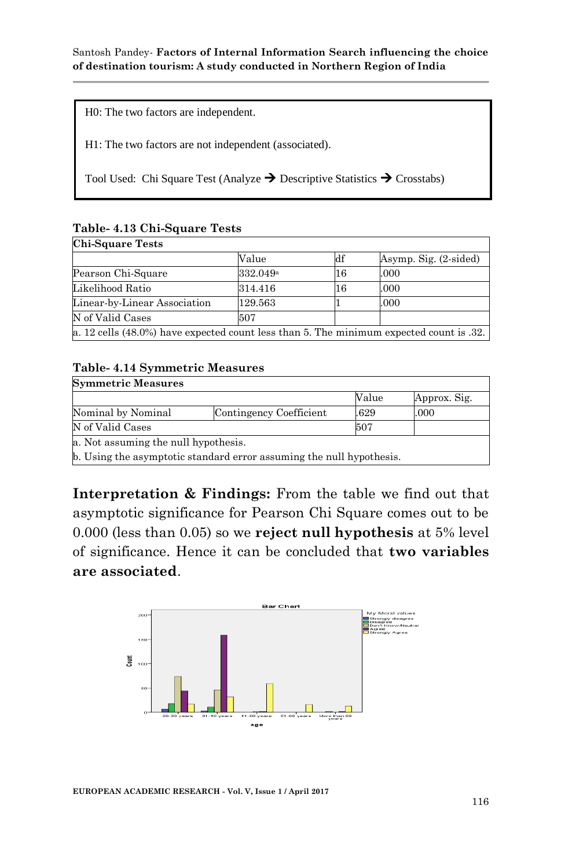H0: The two factors are independent.

H1: The two factors are not independent (associated).

Tool Used: Chi Square Test (Analyze  $\rightarrow$  Descriptive Statistics  $\rightarrow$  Crosstabs)

# **Table- 4.13 Chi-Square Tests**

|                              | Value                | df | Asymp. Sig. (2-sided) |  |
|------------------------------|----------------------|----|-----------------------|--|
| Pearson Chi-Square           | 332.049 <sup>a</sup> | 16 | .000                  |  |
| Likelihood Ratio             | 314.416              | 16 | .000                  |  |
| Linear-by-Linear Association | 129.563              |    | .000                  |  |
| N of Valid Cases             | 507                  |    |                       |  |

#### **Table- 4.14 Symmetric Measures**

| <b>Symmetric Measures</b>                                            |                                      |       |              |  |  |  |  |
|----------------------------------------------------------------------|--------------------------------------|-------|--------------|--|--|--|--|
|                                                                      |                                      | Value | Approx. Sig. |  |  |  |  |
| Nominal by Nominal                                                   | Contingency Coefficient              | .629  | .000         |  |  |  |  |
| N of Valid Cases                                                     |                                      | 507   |              |  |  |  |  |
|                                                                      | a. Not assuming the null hypothesis. |       |              |  |  |  |  |
| b. Using the asymptotic standard error assuming the null hypothesis. |                                      |       |              |  |  |  |  |

**Interpretation & Findings:** From the table we find out that asymptotic significance for Pearson Chi Square comes out to be 0.000 (less than 0.05) so we **reject null hypothesis** at 5% level of significance. Hence it can be concluded that **two variables are associated**.



**EUROPEAN ACADEMIC RESEARCH - Vol. V, Issue 1 / April 2017**

'n.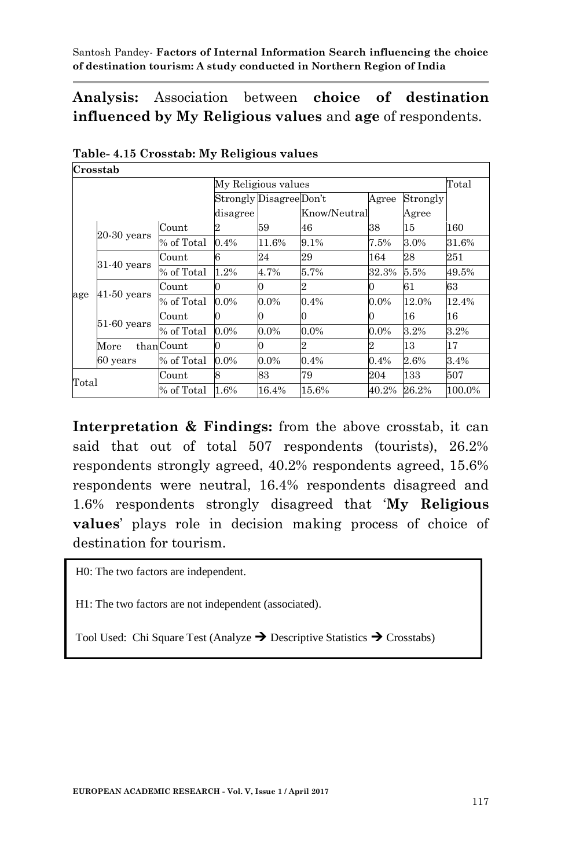**Analysis:** Association between **choice of destination influenced by My Religious values** and **age** of respondents.

| Crosstab            |                       |            |          |                         |              |         |          |        |
|---------------------|-----------------------|------------|----------|-------------------------|--------------|---------|----------|--------|
|                     |                       |            |          | My Religious values     |              |         |          | Total  |
|                     |                       |            |          | Strongly Disagree Don't |              | Agree   | Strongly |        |
|                     |                       |            | disagree |                         | Know/Neutral |         | Agree    |        |
|                     |                       | Count      |          | 59                      | 46           | 38      | 15       | 160    |
|                     | $20-30$ years         | % of Total | 0.4%     | 11.6%                   | 9.1%         | 7.5%    | 3.0%     | 31.6%  |
|                     | $31-40$ years         | Count      | 6        | 24                      | 29           | 164     | 28       | 251    |
|                     |                       | % of Total | 1.2%     | 4.7%                    | 5.7%         | 32.3%   | 5.5%     | 49.5%  |
|                     | $41-50$ years         | Count      |          | 0                       | 2            |         | 61       | 63     |
| age                 |                       | % of Total | $0.0\%$  | $0.0\%$                 | 0.4%         | $0.0\%$ | 12.0%    | 12.4%  |
|                     |                       | Count      | 0        | 0                       |              |         | 16       | 16     |
|                     | $51-60$ years         | % of Total | $0.0\%$  | $0.0\%$                 | $0.0\%$      | $0.0\%$ | 3.2%     | 3.2%   |
|                     | $\operatorname{More}$ | thanCount  | 0        | $\Omega$                | 2            |         | 13       | 17     |
|                     | 60 years              | % of Total | $0.0\%$  | $0.0\%$                 | 0.4%         | 0.4%    | 2.6%     | 3.4%   |
|                     |                       | Count      | 8        | 83                      | 79           | 204     | 133      | 507    |
| Total<br>% of Total |                       |            | 1.6%     | 16.4%                   | 15.6%        | 40.2%   | 26.2%    | 100.0% |

# **Table- 4.15 Crosstab: My Religious values**

**Interpretation & Findings:** from the above crosstab, it can said that out of total 507 respondents (tourists), 26.2% respondents strongly agreed, 40.2% respondents agreed, 15.6% respondents were neutral, 16.4% respondents disagreed and 1.6% respondents strongly disagreed that "**My Religious values**" plays role in decision making process of choice of destination for tourism.

H0: The two factors are independent.

H1: The two factors are not independent (associated).

Tool Used: Chi Square Test (Analyze  $\rightarrow$  Descriptive Statistics  $\rightarrow$  Crosstabs)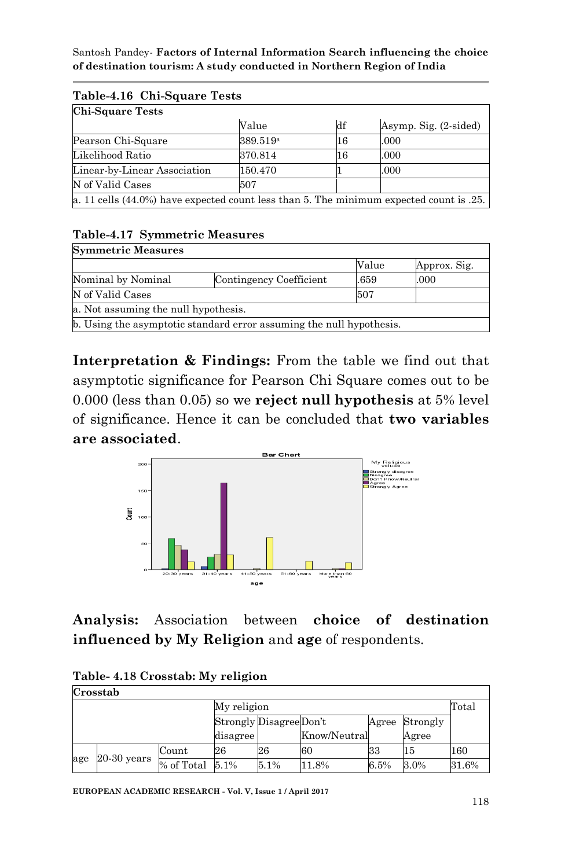| Table-4.10 Uni-Square Tests                                                               |                      |    |                       |  |  |  |  |
|-------------------------------------------------------------------------------------------|----------------------|----|-----------------------|--|--|--|--|
| <b>Chi-Square Tests</b>                                                                   |                      |    |                       |  |  |  |  |
|                                                                                           | Value                | df | Asymp. Sig. (2-sided) |  |  |  |  |
| Pearson Chi-Square                                                                        | 389.519 <sup>a</sup> | 16 | .000                  |  |  |  |  |
| Likelihood Ratio                                                                          | 370.814              | 16 | .000                  |  |  |  |  |
| Linear-by-Linear Association                                                              | 150.470              |    | .000                  |  |  |  |  |
| N of Valid Cases                                                                          | 507                  |    |                       |  |  |  |  |
| a. 11 cells $(44.0%)$ have expected count less than 5. The minimum expected count is .25. |                      |    |                       |  |  |  |  |

# **Table-4.16 Chi-Square Tests**

### **Table-4.17 Symmetric Measures**

| <b>Symmetric Measures</b>                                            |                         |       |              |  |  |  |  |
|----------------------------------------------------------------------|-------------------------|-------|--------------|--|--|--|--|
|                                                                      |                         | Value | Approx. Sig. |  |  |  |  |
| Nominal by Nominal                                                   | Contingency Coefficient | .659  | .000         |  |  |  |  |
| N of Valid Cases                                                     | 507                     |       |              |  |  |  |  |
| a. Not assuming the null hypothesis.                                 |                         |       |              |  |  |  |  |
| b. Using the asymptotic standard error assuming the null hypothesis. |                         |       |              |  |  |  |  |

**Interpretation & Findings:** From the table we find out that asymptotic significance for Pearson Chi Square comes out to be 0.000 (less than 0.05) so we **reject null hypothesis** at 5% level of significance. Hence it can be concluded that **two variables are associated**.



**Analysis:** Association between **choice of destination influenced by My Religion** and **age** of respondents.

| Crosstab |               |                      |                         |      |              |       |          |       |  |
|----------|---------------|----------------------|-------------------------|------|--------------|-------|----------|-------|--|
|          |               |                      | My religion             |      |              |       |          | Total |  |
|          |               |                      | Strongly Disagree Don't |      |              | Agree | Strongly |       |  |
|          |               |                      | disagree                |      | Know/Neutral |       | Agree    |       |  |
|          | $20-30$ years | Count                | 26                      | 26   | 60           | 33    | 15       | 160   |  |
| age      |               | $%$ of Total $5.1\%$ |                         | 5.1% | 1.8%         | 6.5%  | 3.0%     | 31.6% |  |

| Table- 4.18 Crosstab: My religion |  |  |  |
|-----------------------------------|--|--|--|
|-----------------------------------|--|--|--|

**EUROPEAN ACADEMIC RESEARCH - Vol. V, Issue 1 / April 2017**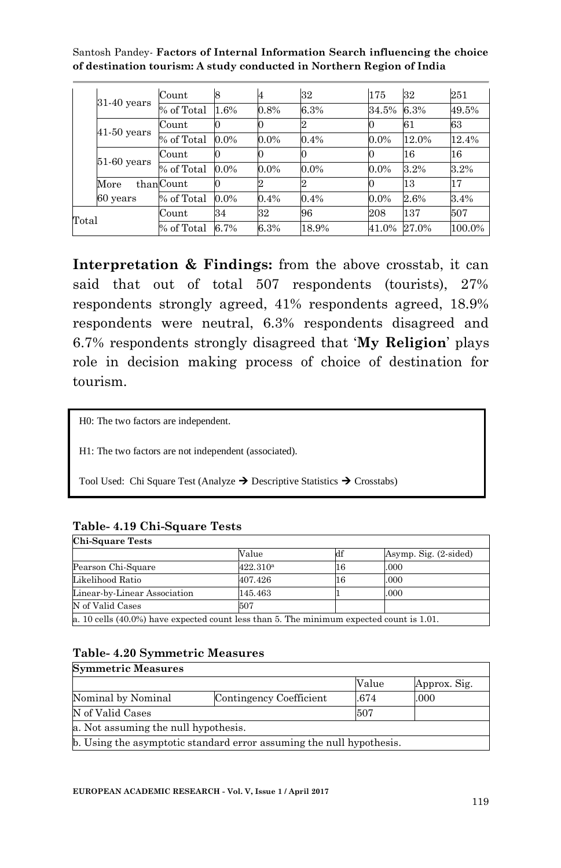|       |               | Count                    | 8       |         | 32      | 175     | 32    | 251    |
|-------|---------------|--------------------------|---------|---------|---------|---------|-------|--------|
|       | $31-40$ years | % of Total               | 1.6%    | 0.8%    | 6.3%    | 34.5%   | 6.3%  | 49.5%  |
|       | $41-50$ years | Count                    |         |         |         |         | 61    | 63     |
|       |               | % of Total               | $0.0\%$ | $0.0\%$ | 0.4%    | $0.0\%$ | 12.0% | 12.4%  |
|       |               | Count                    |         |         |         |         | 16    | 16     |
|       | $51-60$ years | $\overline{\%}$ of Total | $0.0\%$ | $0.0\%$ | $0.0\%$ | $0.0\%$ | 3.2%  | 3.2%   |
|       | More          | thanCount                |         |         | ∠       |         | 13    | 17     |
|       | 60 years      | % of Total               | $0.0\%$ | 0.4%    | 0.4%    | $0.0\%$ | 2.6%  | 3.4%   |
| Total |               | Count                    | 34      | 32      | 96      | 208     | 137   | 507    |
|       |               | % of Total               | 6.7%    | 6.3%    | 18.9%   | 41.0%   | 27.0% | 100.0% |

Interpretation & Findings: from the above crosstab, it can said that out of total 507 respondents (tourists), 27% respondents strongly agreed, 41% respondents agreed, 18.9% respondents were neutral, 6.3% respondents disagreed and 6.7% respondents strongly disagreed that "**My Religion**" plays role in decision making process of choice of destination for tourism.

H0: The two factors are independent.

H1: The two factors are not independent (associated).

Tool Used: Chi Square Test (Analyze  $\rightarrow$  Descriptive Statistics  $\rightarrow$  Crosstabs)

#### **Table- 4.19 Chi-Square Tests**

| <b>Chi-Square Tests</b>                                                                  |                      |    |                       |
|------------------------------------------------------------------------------------------|----------------------|----|-----------------------|
|                                                                                          | Value                | df | Asymp. Sig. (2-sided) |
| Pearson Chi-Square                                                                       | 422.310 <sup>a</sup> | 16 | .000                  |
| Likelihood Ratio                                                                         | 407.426              | 16 | .000                  |
| Linear-by-Linear Association                                                             | 145.463              |    | .000                  |
| N of Valid Cases                                                                         | 507                  |    |                       |
| a. 10 cells (40.0%) have expected count less than 5. The minimum expected count is 1.01. |                      |    |                       |

### **Table- 4.20 Symmetric Measures**

| <b>Symmetric Measures</b>            |                                                                      |       |              |
|--------------------------------------|----------------------------------------------------------------------|-------|--------------|
|                                      |                                                                      | Value | Approx. Sig. |
| Nominal by Nominal                   | Contingency Coefficient                                              | .674  | .000         |
| N of Valid Cases                     |                                                                      | 507   |              |
| a. Not assuming the null hypothesis. |                                                                      |       |              |
|                                      | b. Using the asymptotic standard error assuming the null hypothesis. |       |              |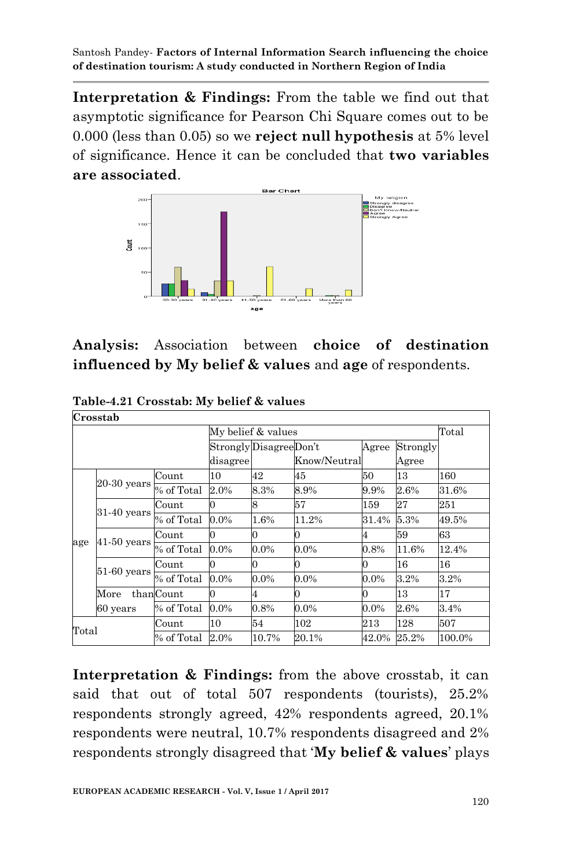**Interpretation & Findings:** From the table we find out that asymptotic significance for Pearson Chi Square comes out to be 0.000 (less than 0.05) so we **reject null hypothesis** at 5% level of significance. Hence it can be concluded that **two variables are associated**.



**Analysis:** Association between **choice of destination influenced by My belief & values** and **age** of respondents.

**Table-4.21 Crosstab: My belief & values Crosstab**

|       | Crosstab      |            |                    |                        |              |         |          |        |
|-------|---------------|------------|--------------------|------------------------|--------------|---------|----------|--------|
|       |               |            | My belief & values |                        | Total        |         |          |        |
|       |               |            |                    | Strongly DisagreeDon't |              | Agree   | Strongly |        |
|       |               |            | disagree           |                        | Know/Neutral |         | Agree    |        |
|       |               | Count      | 10                 | 42                     | 45           | 50      | 13       | 160    |
|       | $20-30$ years | % of Total | 2.0%               | 8.3%                   | 8.9%         | 9.9%    | 2.6%     | 31.6%  |
|       | $31-40$ years | Count      | 0                  | 8                      | 57           | 159     | 27       | 251    |
|       |               | % of Total | $0.0\%$            | 1.6%                   | 11.2%        | 31.4%   | 5.3%     | 49.5%  |
|       | $41-50$ years | Count      | 0                  | 0                      | 0            | 4       | 59       | 63     |
| age   |               | % of Total | 0.0%               | $0.0\%$                | $0.0\%$      | 0.8%    | 11.6%    | 12.4%  |
|       |               | Count      | 0                  |                        | 0            | 0       | 16       | 16     |
|       | $51-60$ years | % of Total | $0.0\%$            | $0.0\%$                | $0.0\%$      | $0.0\%$ | 3.2%     | 3.2%   |
|       | More          | thanCount  | 0                  | 4                      | 0            | 0       | 13       | 17     |
|       | 60 years      | % of Total | $0.0\%$            | 0.8%                   | $0.0\%$      | $0.0\%$ | 2.6%     | 3.4%   |
| Total |               | Count      | 10                 | 54                     | 102          | 213     | 128      | 507    |
|       |               | % of Total | 2.0%               | 10.7%                  | 20.1%        | 42.0%   | 25.2%    | 100.0% |

**Interpretation & Findings:** from the above crosstab, it can said that out of total 507 respondents (tourists), 25.2% respondents strongly agreed, 42% respondents agreed, 20.1% respondents were neutral, 10.7% respondents disagreed and 2% respondents strongly disagreed that "**My belief & values**" plays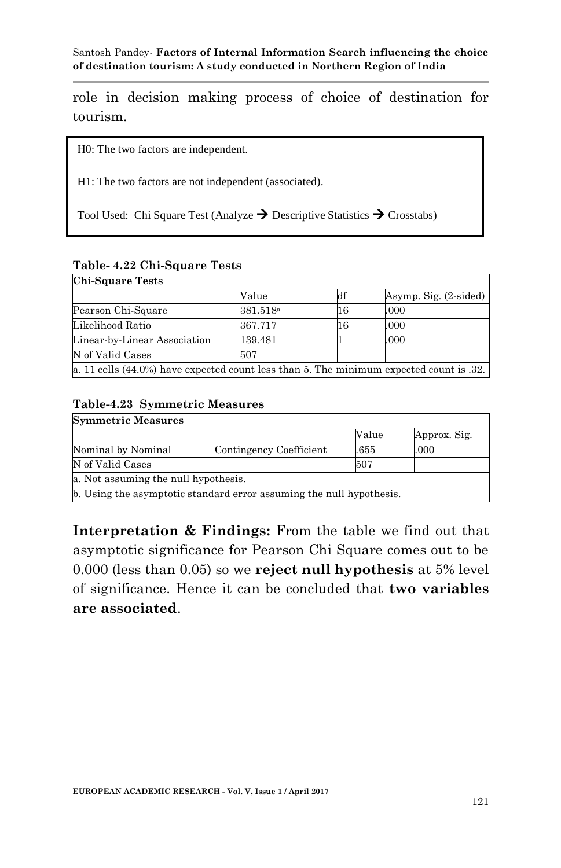role in decision making process of choice of destination for tourism.

H0: The two factors are independent.

H1: The two factors are not independent (associated).

Tool Used: Chi Square Test (Analyze  $\rightarrow$  Descriptive Statistics  $\rightarrow$  Crosstabs)

| rable-4.44 Uni-Square resus                                                               |                      |    |                             |  |  |  |
|-------------------------------------------------------------------------------------------|----------------------|----|-----------------------------|--|--|--|
| <b>Chi-Square Tests</b>                                                                   |                      |    |                             |  |  |  |
|                                                                                           | Value                | df | Asymp. Sig. $(2\t{-sided})$ |  |  |  |
| Pearson Chi-Square                                                                        | 381.518 <sup>a</sup> | 16 | .000                        |  |  |  |
| Likelihood Ratio                                                                          | 367.717              | 16 | .000                        |  |  |  |
| Linear-by-Linear Association                                                              | 139.481              |    | .000                        |  |  |  |
| N of Valid Cases                                                                          | 507                  |    |                             |  |  |  |
| a. 11 cells $(44.0%)$ have expected count less than 5. The minimum expected count is .32. |                      |    |                             |  |  |  |

### **Table- 4.22 Chi-Square Tests**

### **Table-4.23 Symmetric Measures**

| <b>Symmetric Measures</b>            |                                                                      |       |              |
|--------------------------------------|----------------------------------------------------------------------|-------|--------------|
|                                      |                                                                      | Value | Approx. Sig. |
| Nominal by Nominal                   | Contingency Coefficient                                              | .655  | .000         |
| N of Valid Cases                     |                                                                      | 507   |              |
| a. Not assuming the null hypothesis. |                                                                      |       |              |
|                                      | b. Using the asymptotic standard error assuming the null hypothesis. |       |              |

**Interpretation & Findings:** From the table we find out that asymptotic significance for Pearson Chi Square comes out to be 0.000 (less than 0.05) so we **reject null hypothesis** at 5% level of significance. Hence it can be concluded that **two variables are associated**.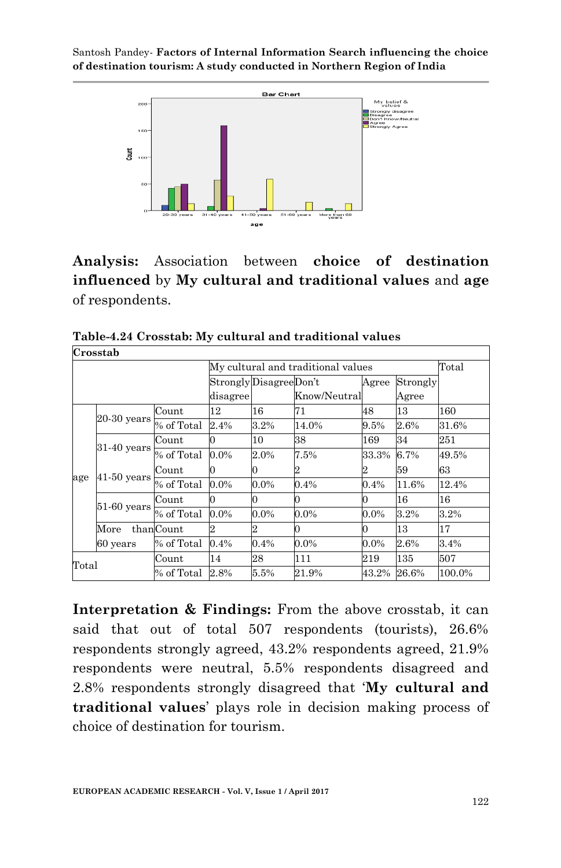

**Analysis:** Association between **choice of destination influenced** by **My cultural and traditional values** and **age** of respondents.

|               | Crosstab                           |            |          |                                             |              |         |       |        |  |
|---------------|------------------------------------|------------|----------|---------------------------------------------|--------------|---------|-------|--------|--|
|               | My cultural and traditional values |            |          |                                             |              |         |       | Total  |  |
|               |                                    |            |          | Strongly DisagreeDon't<br>Strongly<br>Agree |              |         |       |        |  |
|               |                                    |            | disagree |                                             | Know/Neutral |         | Agree |        |  |
|               |                                    | Count      | 12       | 16                                          | 71           | 48      | 13    | 160    |  |
|               | $20-30$ years                      | % of Total | 2.4%     | 3.2%                                        | 14.0%        | 9.5%    | 2.6%  | 31.6%  |  |
|               | $31-40$ years                      | Count      | 0        | 10                                          | 38           | 169     | 34    | 251    |  |
|               |                                    | % of Total | $0.0\%$  | 2.0%                                        | 7.5%         | 33.3%   | 6.7%  | 49.5%  |  |
| $41-50$ years | Count                              | 0          | $\Omega$ | 2                                           | 2            | 59      | 63    |        |  |
| age           |                                    | % of Total | $0.0\%$  | $0.0\%$                                     | 0.4%         | 0.4%    | 11.6% | 12.4%  |  |
|               | $51-60$ years                      | Count      | 0        | 0                                           | 0            | 0       | 16    | 16     |  |
|               |                                    | % of Total | $0.0\%$  | $0.0\%$                                     | $0.0\%$      | $0.0\%$ | 3.2%  | 3.2%   |  |
|               | $\operatorname{More}$              | thanCount  | 2        | $\overline{2}$                              | 0            | 0       | 13    | 17     |  |
|               | 60 years                           | % of Total | 0.4%     | 0.4%                                        | $0.0\%$      | $0.0\%$ | 2.6%  | 3.4%   |  |
| Total         |                                    | Count      | 14       | 28                                          | 111          | 219     | 135   | 507    |  |
|               |                                    | % of Total | 2.8%     | 5.5%                                        | 21.9%        | 43.2%   | 26.6% | 100.0% |  |

**Table-4.24 Crosstab: My cultural and traditional values**

**Interpretation & Findings:** From the above crosstab, it can said that out of total 507 respondents (tourists), 26.6% respondents strongly agreed, 43.2% respondents agreed, 21.9% respondents were neutral, 5.5% respondents disagreed and 2.8% respondents strongly disagreed that "**My cultural and traditional values**" plays role in decision making process of choice of destination for tourism.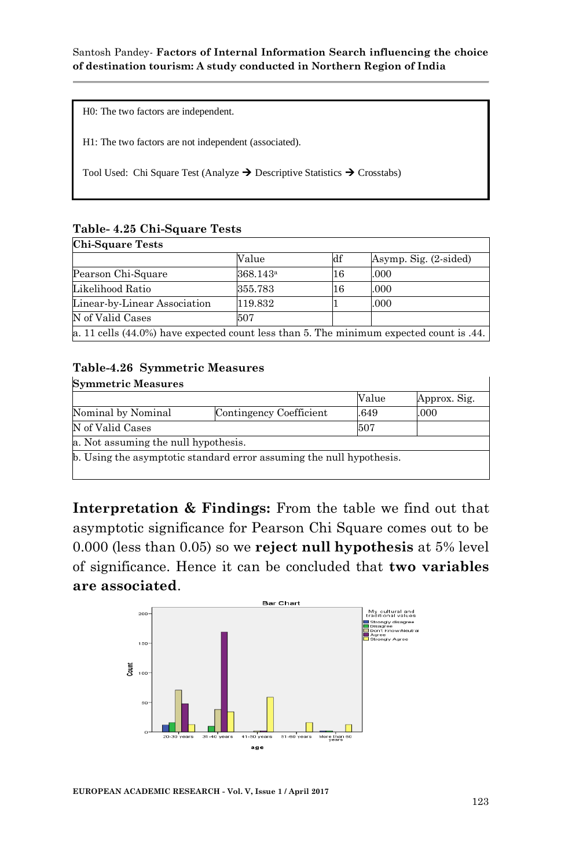H0: The two factors are independent.

H1: The two factors are not independent (associated).

Tool Used: Chi Square Test (Analyze  $\rightarrow$  Descriptive Statistics  $\rightarrow$  Crosstabs)

### **Table- 4.25 Chi-Square Tests**

| <b>Chi-Square Tests</b>                                                                 |                      |    |                       |  |  |  |
|-----------------------------------------------------------------------------------------|----------------------|----|-----------------------|--|--|--|
|                                                                                         | Value                | кď | Asymp. Sig. (2-sided) |  |  |  |
| Pearson Chi-Square                                                                      | 368.143 <sup>a</sup> | 16 | .000                  |  |  |  |
| Likelihood Ratio                                                                        | 355.783              | 16 | .000                  |  |  |  |
| Linear-by-Linear Association                                                            | 119.832              |    | .000                  |  |  |  |
| N of Valid Cases                                                                        | 507                  |    |                       |  |  |  |
| a. 11 cells (44.0%) have expected count less than 5. The minimum expected count is .44. |                      |    |                       |  |  |  |

# **Table-4.26 Symmetric Measures**

| <b>Symmetric Measures</b>            |                                                                      | Value | Approx. Sig. |
|--------------------------------------|----------------------------------------------------------------------|-------|--------------|
| Nominal by Nominal                   | Contingency Coefficient                                              | .649  | .000         |
| N of Valid Cases                     |                                                                      | 507   |              |
| a. Not assuming the null hypothesis. |                                                                      |       |              |
|                                      | b. Using the asymptotic standard error assuming the null hypothesis. |       |              |

**Interpretation & Findings:** From the table we find out that asymptotic significance for Pearson Chi Square comes out to be 0.000 (less than 0.05) so we **reject null hypothesis** at 5% level of significance. Hence it can be concluded that **two variables are associated**.



**EUROPEAN ACADEMIC RESEARCH - Vol. V, Issue 1 / April 2017**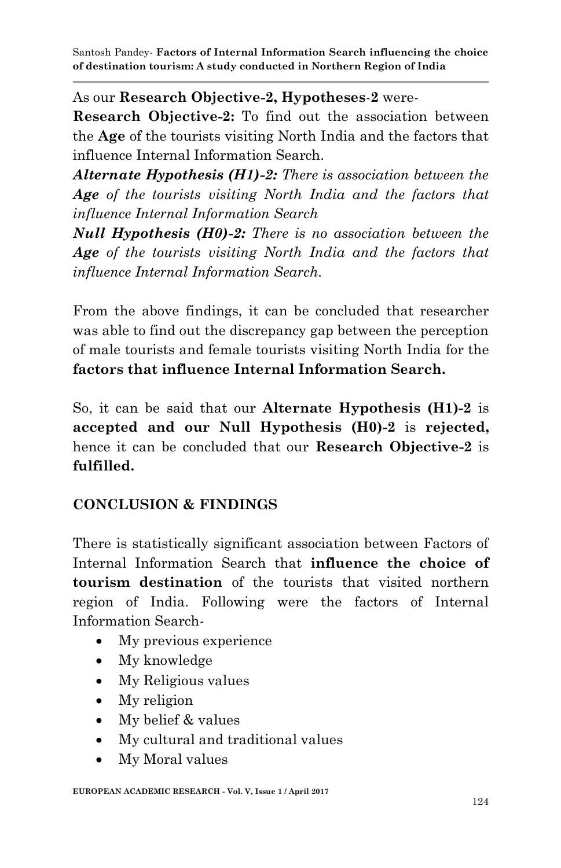As our **Research Objective-2, Hypotheses**-**2** were-

**Research Objective-2:** To find out the association between the **Age** of the tourists visiting North India and the factors that influence Internal Information Search.

*Alternate Hypothesis (H1)-2: There is association between the Age of the tourists visiting North India and the factors that influence Internal Information Search*

*Null Hypothesis (H0)-2: There is no association between the Age of the tourists visiting North India and the factors that influence Internal Information Search.*

From the above findings, it can be concluded that researcher was able to find out the discrepancy gap between the perception of male tourists and female tourists visiting North India for the **factors that influence Internal Information Search.** 

So, it can be said that our **Alternate Hypothesis (H1)-2** is **accepted and our Null Hypothesis (H0)-2** is **rejected,**  hence it can be concluded that our **Research Objective-2** is **fulfilled.**

# **CONCLUSION & FINDINGS**

There is statistically significant association between Factors of Internal Information Search that **influence the choice of tourism destination** of the tourists that visited northern region of India. Following were the factors of Internal Information Search-

- My previous experience
- My knowledge
- My Religious values
- My religion
- My belief & values
- My cultural and traditional values
- My Moral values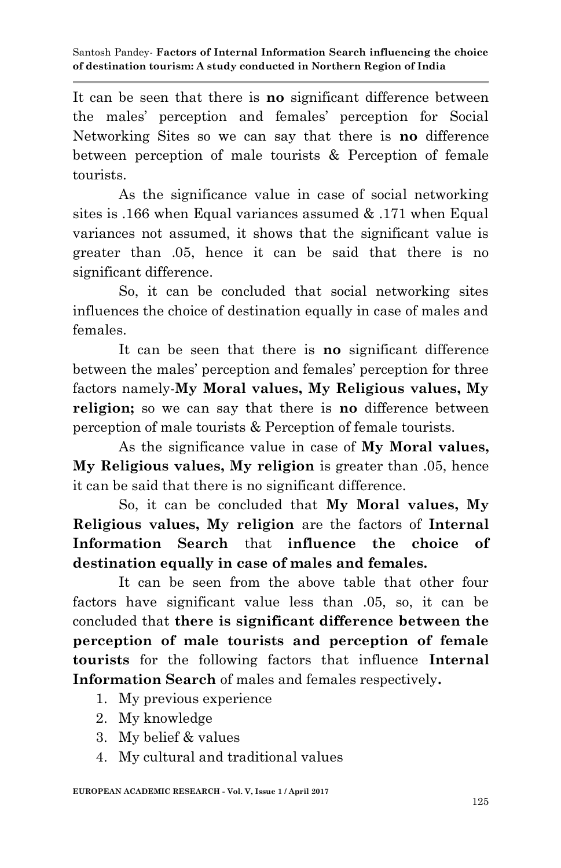It can be seen that there is **no** significant difference between the males" perception and females" perception for Social Networking Sites so we can say that there is **no** difference between perception of male tourists & Perception of female tourists.

As the significance value in case of social networking sites is .166 when Equal variances assumed & .171 when Equal variances not assumed, it shows that the significant value is greater than .05, hence it can be said that there is no significant difference.

So, it can be concluded that social networking sites influences the choice of destination equally in case of males and females.

It can be seen that there is **no** significant difference between the males" perception and females" perception for three factors namely-**My Moral values, My Religious values, My religion;** so we can say that there is **no** difference between perception of male tourists & Perception of female tourists.

As the significance value in case of **My Moral values, My Religious values, My religion** is greater than .05, hence it can be said that there is no significant difference.

So, it can be concluded that **My Moral values, My Religious values, My religion** are the factors of **Internal Information Search** that **influence the choice of destination equally in case of males and females.**

It can be seen from the above table that other four factors have significant value less than .05, so, it can be concluded that **there is significant difference between the perception of male tourists and perception of female tourists** for the following factors that influence **Internal Information Search** of males and females respectively**.**

- 1. My previous experience
- 2. My knowledge
- 3. My belief & values
- 4. My cultural and traditional values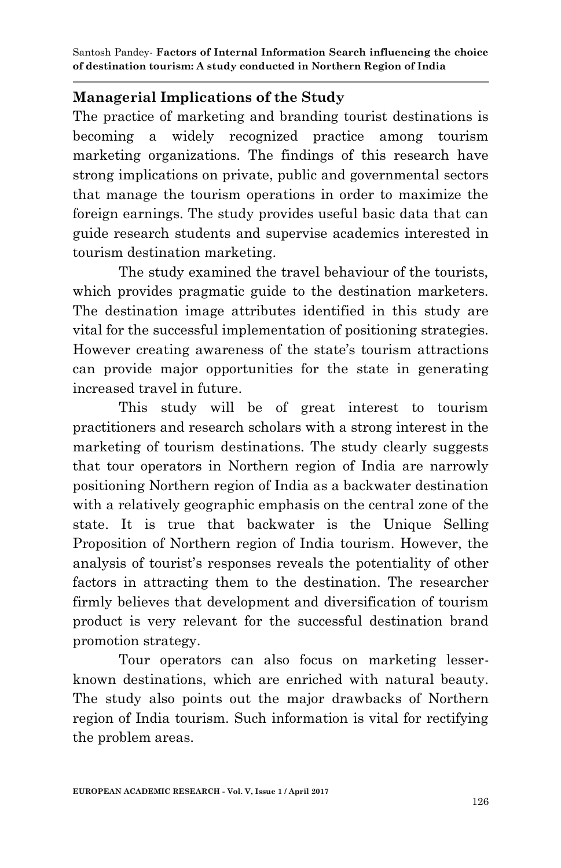## **Managerial Implications of the Study**

The practice of marketing and branding tourist destinations is becoming a widely recognized practice among tourism marketing organizations. The findings of this research have strong implications on private, public and governmental sectors that manage the tourism operations in order to maximize the foreign earnings. The study provides useful basic data that can guide research students and supervise academics interested in tourism destination marketing.

The study examined the travel behaviour of the tourists, which provides pragmatic guide to the destination marketers. The destination image attributes identified in this study are vital for the successful implementation of positioning strategies. However creating awareness of the state"s tourism attractions can provide major opportunities for the state in generating increased travel in future.

This study will be of great interest to tourism practitioners and research scholars with a strong interest in the marketing of tourism destinations. The study clearly suggests that tour operators in Northern region of India are narrowly positioning Northern region of India as a backwater destination with a relatively geographic emphasis on the central zone of the state. It is true that backwater is the Unique Selling Proposition of Northern region of India tourism. However, the analysis of tourist"s responses reveals the potentiality of other factors in attracting them to the destination. The researcher firmly believes that development and diversification of tourism product is very relevant for the successful destination brand promotion strategy.

Tour operators can also focus on marketing lesserknown destinations, which are enriched with natural beauty. The study also points out the major drawbacks of Northern region of India tourism. Such information is vital for rectifying the problem areas.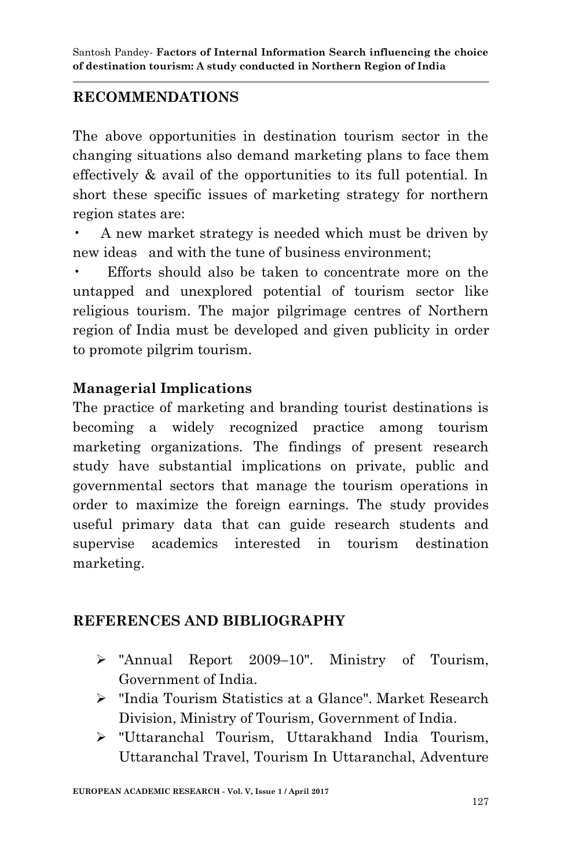# **RECOMMENDATIONS**

The above opportunities in destination tourism sector in the changing situations also demand marketing plans to face them effectively & avail of the opportunities to its full potential. In short these specific issues of marketing strategy for northern region states are:

• A new market strategy is needed which must be driven by new ideas and with the tune of business environment;

Efforts should also be taken to concentrate more on the untapped and unexplored potential of tourism sector like religious tourism. The major pilgrimage centres of Northern region of India must be developed and given publicity in order to promote pilgrim tourism.

# **Managerial Implications**

The practice of marketing and branding tourist destinations is becoming a widely recognized practice among tourism marketing organizations. The findings of present research study have substantial implications on private, public and governmental sectors that manage the tourism operations in order to maximize the foreign earnings. The study provides useful primary data that can guide research students and supervise academics interested in tourism destination marketing.

### **REFERENCES AND BIBLIOGRAPHY**

- "Annual Report 2009–10". Ministry of Tourism, Government of India.
- "India Tourism Statistics at a Glance". Market Research Division, Ministry of Tourism, Government of India.
- "Uttaranchal Tourism, Uttarakhand India Tourism, Uttaranchal Travel, Tourism In Uttaranchal, Adventure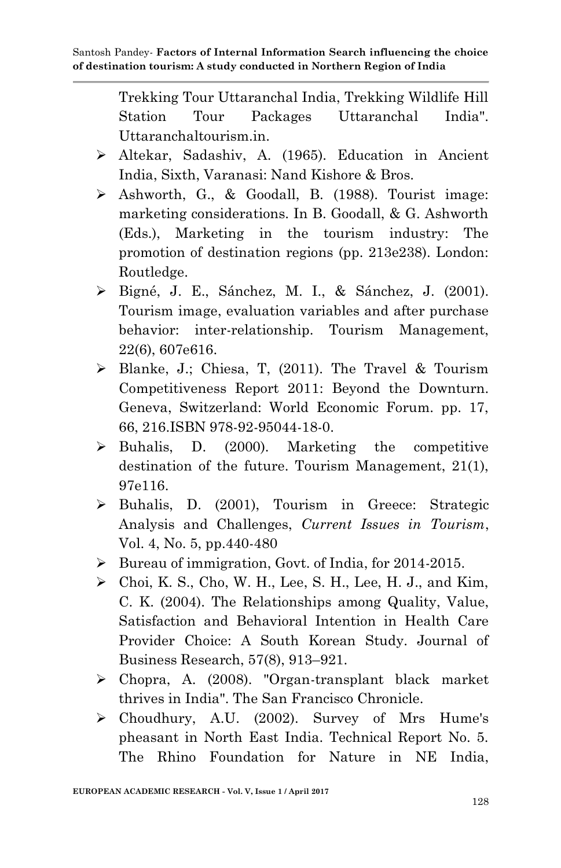Trekking Tour Uttaranchal India, Trekking Wildlife Hill Station Tour Packages Uttaranchal India". Uttaranchaltourism.in.

- Altekar, Sadashiv, A. (1965). Education in Ancient India, Sixth, Varanasi: Nand Kishore & Bros.
- Ashworth, G., & Goodall, B. (1988). Tourist image: marketing considerations. In B. Goodall, & G. Ashworth (Eds.), Marketing in the tourism industry: The promotion of destination regions (pp. 213e238). London: Routledge.
- Bigné, J. E., Sánchez, M. I., & Sánchez, J. (2001). Tourism image, evaluation variables and after purchase behavior: inter-relationship. Tourism Management, 22(6), 607e616.
- $\triangleright$  Blanke, J.; Chiesa, T. (2011). The Travel & Tourism Competitiveness Report 2011: Beyond the Downturn. Geneva, Switzerland: World Economic Forum. pp. 17, 66, 216.ISBN 978-92-95044-18-0.
- $\triangleright$  Buhalis, D. (2000). Marketing the competitive destination of the future. Tourism Management, 21(1), 97e116.
- > Buhalis, D. (2001), Tourism in Greece: Strategic Analysis and Challenges, *Current Issues in Tourism*, Vol. 4, No. 5, pp.440-480
- ▶ Bureau of immigration, Govt. of India, for 2014-2015.
- $\triangleright$  Choi, K. S., Cho, W. H., Lee, S. H., Lee, H. J., and Kim, C. K. (2004). The Relationships among Quality, Value, Satisfaction and Behavioral Intention in Health Care Provider Choice: A South Korean Study. Journal of Business Research, 57(8), 913–921.
- Chopra, A. (2008). "Organ-transplant black market thrives in India". The San Francisco Chronicle.
- Choudhury, A.U. (2002). Survey of Mrs Hume's pheasant in North East India. Technical Report No. 5. The Rhino Foundation for Nature in NE India,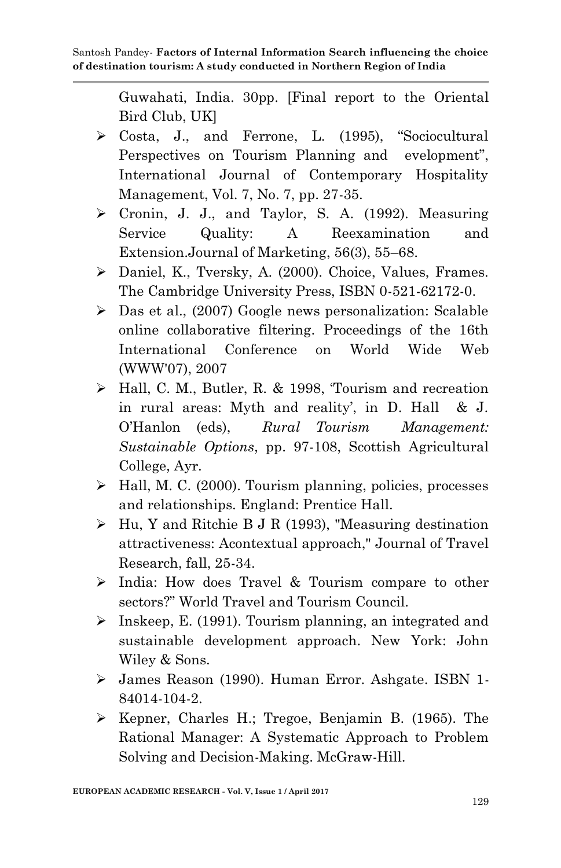Guwahati, India. 30pp. [Final report to the Oriental Bird Club, UK]

- Costa, J., and Ferrone, L. (1995), "Sociocultural Perspectives on Tourism Planning and evelopment", International Journal of Contemporary Hospitality Management, Vol. 7, No. 7, pp. 27-35.
- $\triangleright$  Cronin, J. J., and Taylor, S. A. (1992). Measuring Service Quality: A Reexamination and Extension.Journal of Marketing, 56(3), 55–68.
- Daniel, K., Tversky, A. (2000). Choice, Values, Frames. The Cambridge University Press, ISBN 0-521-62172-0.
- Das et al., (2007) Google news personalization: Scalable online collaborative filtering. Proceedings of the 16th International Conference on World Wide Web (WWW'07), 2007
- Hall, C. M., Butler, R. & 1998, "Tourism and recreation in rural areas: Myth and reality', in D. Hall & J. O"Hanlon (eds), *Rural Tourism Management: Sustainable Options*, pp. 97-108, Scottish Agricultural College, Ayr.
- $\triangleright$  Hall, M. C. (2000). Tourism planning, policies, processes and relationships. England: Prentice Hall.
- $\triangleright$  Hu, Y and Ritchie B J R (1993), "Measuring destination attractiveness: Acontextual approach," Journal of Travel Research, fall, 25-34.
- $\triangleright$  India: How does Travel & Tourism compare to other sectors?" World Travel and Tourism Council.
- $\triangleright$  Inskeep, E. (1991). Tourism planning, an integrated and sustainable development approach. New York: John Wiley & Sons.
- James Reason (1990). Human Error. Ashgate. ISBN 1- 84014-104-2.
- $\triangleright$  Kepner, Charles H.; Tregoe, Benjamin B. (1965). The Rational Manager: A Systematic Approach to Problem Solving and Decision-Making. McGraw-Hill.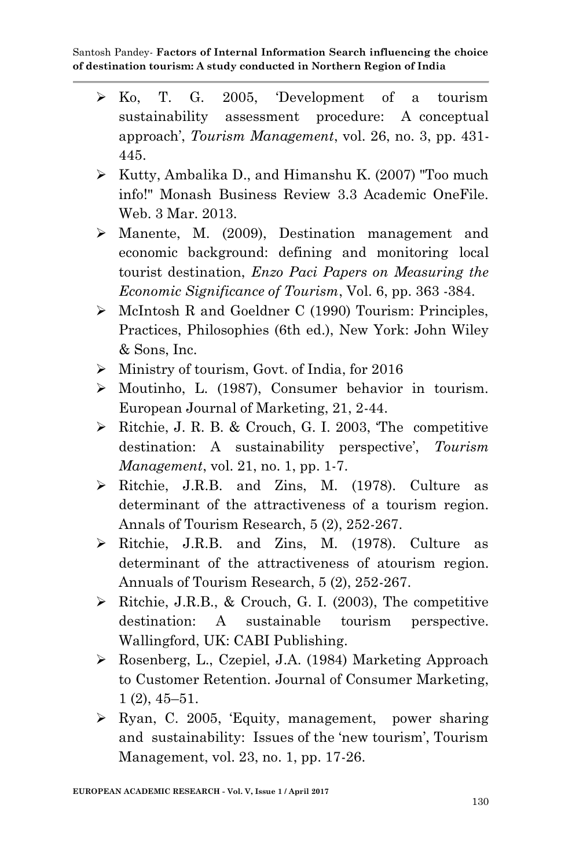- Ko, T. G. 2005, "Development of a tourism sustainability assessment procedure: A conceptual approach", *Tourism Management*, vol. 26, no. 3, pp. 431- 445.
- $\triangleright$  Kutty, Ambalika D., and Himanshu K. (2007) "Too much info!" Monash Business Review 3.3 Academic OneFile. Web. 3 Mar. 2013.
- Manente, M. (2009), Destination management and economic background: defining and monitoring local tourist destination, *Enzo Paci Papers on Measuring the Economic Significance of Tourism*, Vol. 6, pp. 363 -384.
- $\triangleright$  McIntosh R and Goeldner C (1990) Tourism: Principles, Practices, Philosophies (6th ed.), New York: John Wiley & Sons, Inc.
- $\triangleright$  Ministry of tourism, Govt. of India, for 2016
- Moutinho, L. (1987), Consumer behavior in tourism. European Journal of Marketing, 21, 2-44.
- Ritchie, J. R. B. & Crouch, G. I. 2003, "The competitive destination: A sustainability perspective', *Tourism Management*, vol. 21, no. 1, pp. 1-7.
- Ritchie, J.R.B. and Zins, M. (1978). Culture as determinant of the attractiveness of a tourism region. Annals of Tourism Research, 5 (2), 252-267.
- Ritchie, J.R.B. and Zins, M. (1978). Culture as determinant of the attractiveness of atourism region. Annuals of Tourism Research, 5 (2), 252-267.
- $\triangleright$  Ritchie, J.R.B., & Crouch, G. I. (2003), The competitive destination: A sustainable tourism perspective. Wallingford, UK: CABI Publishing.
- Rosenberg, L., Czepiel, J.A. (1984) Marketing Approach to Customer Retention. Journal of Consumer Marketing, 1 (2), 45–51.
- $\triangleright$  Ryan, C. 2005, 'Equity, management, power sharing and sustainability: Issues of the "new tourism", Tourism Management, vol. 23, no. 1, pp. 17-26.